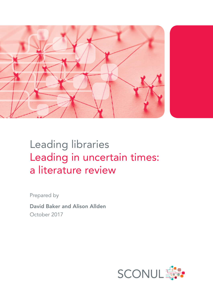

# Leading libraries Leading in uncertain times: a literature review

Prepared by

David Baker and Alison Allden October 2017

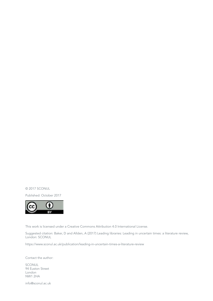© 2017 SCONUL

Published: October 2017



This work is licensed under a Creative Commons Attribution 4.0 International License.

Suggested citation: Baker, D and Allden, A (2017) Leading libraries: Leading in uncertain times: a literature review, London: SCONUL

<https://www.sconul.ac.uk/publication/leading-in-uncertain-times-a-literature-review>

Contact the author:

SCONUL 94 Euston Street London NW1 2HA

info@sconul.ac.uk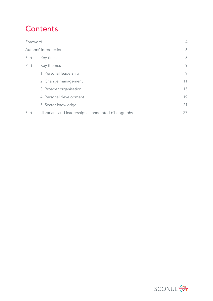# **Contents**

| Foreword              |                                                               | $\overline{4}$ |
|-----------------------|---------------------------------------------------------------|----------------|
| Authors' introduction |                                                               | 6              |
| Part I                | Key titles                                                    | 8              |
| Part II               | Key themes                                                    | 9              |
|                       | 1. Personal leadership                                        | 9              |
|                       | 2. Change management                                          | 11             |
|                       | 3. Broader organisation                                       | 15             |
|                       | 4. Personal development                                       | 19             |
|                       | 5. Sector knowledge                                           | 21             |
|                       | Part III Librarians and leadership: an annotated bibliography | 27             |

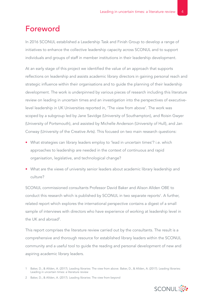# Foreword

In 2016 SCONUL established a Leadership Task and Finish Group to develop a range of initiatives to enhance the collective leadership capacity across SCONUL and to support individuals and groups of staff in member institutions in their leadership development.

At an early stage of this project we identified the value of an approach that supports reflections on leadership and assists academic library directors in gaining personal reach and strategic influence within their organisations and to guide the planning of their leadership development. The work is underpinned by various pieces of research including this literature review on leading in uncertain times and an investigation into the perspectives of executivelevel leadership in UK Universities reported in, 'The view from above'. The work was scoped by a subgroup led by Jane Savidge (University of Southampton), and Roisin Gwyer (University of Portsmouth), and assisted by Michelle Anderson (University of Hull), and Jan Conway (University of the Creative Arts). This focused on two main research questions:

- What strategies can library leaders employ to 'lead in uncertain times'? i.e. which approaches to leadership are needed in the context of continuous and rapid organisation, legislative, and technological change?
- What are the views of university senior leaders about academic library leadership and culture?

SCONUL commissioned consultants Professor David Baker and Alison Allden OBE to conduct this research which is published by SCONUL in two separate reports<sup>1</sup>. A further, related report which explores the international perspective contains a digest of a small sample of interviews with directors who have experience of working at leadership level in the UK and abroad<sup>2</sup>.

This report comprises the literature review carried out by the consultants. The result is a comprehensive and thorough resource for established library leaders within the SCONUL community and a useful tool to guide the reading and personal development of new and aspiring academic library leaders.



<sup>1</sup> Baker, D., & Allden, A. (2017). Leading libraries: The view from above. Baker, D., & Allden, A. (2017). Leading libraries: Leading in uncertain times: a literature review

<sup>2</sup> Baker, D., & Allden, A. (2017). Leading libraries: The view from beyond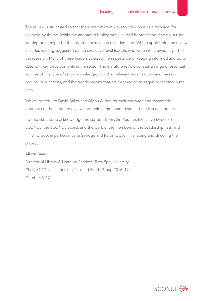The review is structured so that there are different ways to draw on it as a resource, for example by theme. While the annotated bibliography in itself is interesting reading, a useful starting point might be the 'top ten' or key readings identified. Where applicable, the review includes reading suggested by the executive level leaders who were interviewed as part of the research. Many of these leaders stressed the importance of keeping informed and up to date with key developments in the sector. The literature review collates a range of essential sources of this type of sector knowledge, including relevant organisations and mission groups, publications, and the trends reports that are deemed to be requisite reading in the area.

We are grateful to David Baker and Alison Allden for their thorough and systematic approach to the literature review and their commitment overall to the research project.

I would like also to acknowledge the support from Ann Rossiter, Executive Director of SCONUL, the SCONUL Board, and the work of the members of the Leadership Task and Finish Group, in particular Jane Savidge and Roisin Gwyer, in shaping and directing the project.

#### Alison Baud

Director of Library & Learning Services, Bath Spa University Chair, SCONUL Leadership Task and Finish Group 2016–17 October 2017

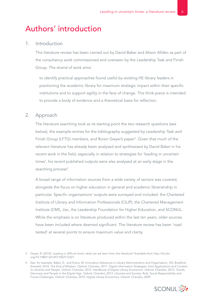# Authors' introduction

### 1. Introduction

 This literature review has been carried out by David Baker and Alison Allden as part of the consultancy work commissioned and overseen by the Leadership Task and Finish Group. The strand of work aims:

 to identify practical approaches found useful by existing HE library leaders in positioning the academic library for maximum strategic impact within their specific institutions and to support agility in the face of change. This think-piece is intended to provide a body of evidence and a theoretical basis for reflection.

### 2. Approach

 The literature searching took as its starting point the two research questions (see below), the example entries for the bibliography suggested by Leadership Task and Finish Group (LFTG) members, and Roisin Gwyer's paper<sup>3</sup>. Given that much of the relevant literature has already been analysed and synthesised by David Baker in his recent work in the field, especially in relation to strategies for 'leading in uncertain times', his recent published outputs were also analysed at an early stage in the searching process<sup>4</sup>.

 A broad range of information sources from a wide variety of sectors was covered, alongside the focus on higher education in general and academic librarianship in particular. Specific organisations' outputs were surveyed and included: the Chartered Institute of Library and Information Professionals (CILIP), the Chartered Management Institute (CMI), Jisc, the Leadership Foundation for Higher Education, and SCONUL. While the emphasis is on literature produced within the last ten years, older sources have been included where deemed significant. The literature review has been 'road tested' at several points to ensure maximum value and clarity.

<sup>4</sup> See, for example: Baker, D., and Evans, W. Innovation (Advances in Library Administration and Organisation, 35). Bradford: Emerald, 2016. The End of Wisdom. Oxford: Chandos, 2017. Digital Information Strategies: from Applications and Content to Libraries and People. Oxford: Chandos, 2015. Handbook of Digital Library Economics. Oxford: Chandos, 2013. Trends, Discovery and People in the Digital Age. Oxford: Chandos, 2013. Libraries and Society: Role, Social Responsibility and Future Challenges. Oxford: Chandos, 2010. Digital Library Economics. Oxford: Chandos, 2009



<sup>3</sup> Gwyer, R. (2010). Leading in difficult times: what can we learn from the literature? Available from [http://dx.doi.](http://dx.doi.org/10.1080/13614571003712321 52) [org/10.1080/13614571003712321](http://dx.doi.org/10.1080/13614571003712321 52)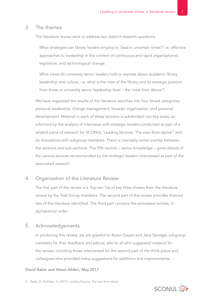### 3. The themes

The literature review aims to address two distinct research questions:

 What strategies can library leaders employ to 'lead in uncertain times'? i.e. effective approaches to leadership in the context of continuous and rapid organisational, legislative, and technological change.

 What views do university senior leaders hold or express about academic library leadership and culture, i.e. what is the view of the library and its strategic position from those at university senior leadership level – the 'view from above'?

 We have organised the results of the literature searches into four broad categories: personal leadership; change management; broader organisation; and personal development. Material in each of these sections is subdivided into key areas, as informed by the analysis of interviews with strategic leaders conducted as part of a related piece of research for SCONUL 'Leading libraries: The view from above'<sup>5</sup> and by discussions with subgroup members. There is inevitably some overlap between the sections and sub-sections. The fifth section – sector knowledge – gives details of the various sources recommended by the strategic leaders interviewed as part of the associated research.

### 4. Organisation of the Literature Review

 The first part of the review is a 'top ten' list of key titles chosen from the literature review by the Task Group members. The second part of the review provides themed lists of the literature identified. The third part contains the annotated entries, in alphabetical order.

### 5. Acknowledgements

 In producing this review, we are grateful to Roisin Gwyer and Jane Savidge, subgroup members for their feedback and advice; also to all who suggested material for the review, including those interviewed for the second part of the think-piece and colleagues who provided many suggestions for additions and improvements.

#### David Baker and Alison Allden, May 2017

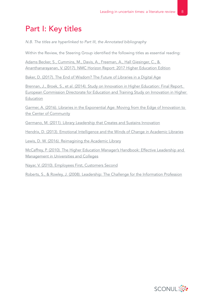# Part I: Key titles

*N.B. The titles are hyperlinked to Part III, the Annotated bibliography*

Within the Review, the Steering Group identified the following titles as essential reading:

[Adams Becker, S., Cummins, M., Davis, A., Freeman, A., Hall Giesinger, C., &](#page-26-0)  [Ananthanarayanan, V. \(2017\). NMC Horizon Report: 2017 Higher Education Edition](#page-26-0)

[Baker, D. \(2017\). The End of Wisdom? The Future of Libraries in a Digital](#page-29-0) Age

[Brennan, J., Broek, S., et al. \(2014\). Study on Innovation in Higher Education: Final Report.](#page-30-0)  [European Commission Directorate for Education and Training Study on Innovation in Higher](#page-30-0)  **[Education](#page-30-0)** 

[Garmer, A. \(2016\). Libraries in the Exponential Age: Moving from the Edge of Innovation to](#page-34-0)  [the Center of Community](#page-34-0)

[Germano, M. \(2011\). Library Leadership that Creates and Sustains Innovation](#page-35-0)

Hendrix, D. [\(2013\). Emotional Intelligence and the Winds of Change in Academic Libraries](#page-38-0)

[Lewis, D. W. \(2016\). Reimagining the Academic Library](#page-40-0)

[McCaffrey, P. \(2010\). The Higher Education Manager's Handbook: Effective Leadership and](#page-43-0)  [Management in Universities and Colleges](#page-43-0)

[Nayar, V. \(2010\). Employees First, Customers Second](#page-44-0)

[Roberts, S., & Rowley, J. \(2008\). Leadership: The Challenge for the Information Profession](#page-46-0)

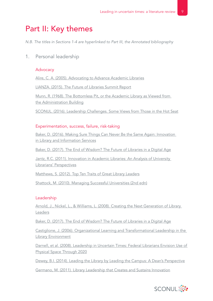# Part II: Key themes

*N.B. The titles in Sections 1-4 are hyperlinked to Part III, the Annotated bibliography*

1. Personal leadership

### **Advocacy**

[Alire, C. A. \(2005\). Advocating to Advance Academic Libraries](#page-27-0)

[LIANZA. \(2015\). The Future of Libraries Summit Report](#page-41-0)

[Munn, R. \(1968\). The Bottomless Pit, or the Academic Library as Viewed from](#page-43-0) [the Administration Building](#page-43-0)

[SCONUL. \(2016\). Leadership Challenges. Some Views from Those in the Hot Seat](#page-46-0)

### Experimentation, success, failure, risk-taking

[Baker, D. \(2016\). Making Sure Things Can Never Be the Same Again: Innovation](#page-28-0)  in [Library and Information Services](#page-28-0)

[Baker, D. \(2017\). The End of Wisdom? The Future of Libraries in a Digital](#page-29-0) Age

[Jantz, R.C. \(2011\). Innovation in Academic Libraries: An Analysis of University](#page-39-0)  [Librarians' Perspectives](#page-39-0)

[Matthews, S. \(2012\). Top Ten Traits of Great Library Leaders](#page-42-0)

[Shattock, M. \(2010\). Managing Successful Universities \(2nd edn\)](#page-47-0)

#### Leadership

[Arnold, J., Nickel, L., & Williams, L. \(2008\). Creating the Next Generation of Library](#page-27-0)  [Leaders](#page-27-0)

[Baker, D. \(2017\). The End of Wisdom? The Future of Libraries in a Digital](#page-29-0) Age

[Castiglione, J. \(2006\). Organizational Learning and Transformational Leadership in the](#page-31-0)  [Library Environment](#page-31-0)

[Darnell, et al. \(2008\). Leadership in Uncertain Times: Federal Librarians Envision Use of](#page-33-0)  [Physical Space Through 2020](#page-33-0)

[Dewey, B.I. \(2014\). Leading the Library by Leading the Campus: A Dean's Perspective](#page-33-0)

[Germano, M. \(2011\). Library Leadership that Creates and Sustains Innovation](#page-35-0)

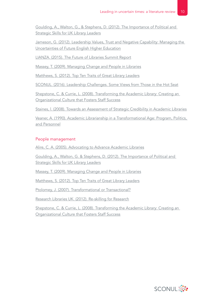[Goulding, A., Walton, G., & Stephens, D. \(2012\). The Importance of Political and](#page-36-0)  [Strategic Skills for UK Library Leaders](#page-36-0)

[Jameson, G. \(2012\). Leadership Values, Trust and Negative Capability: Managing the](#page-39-0)  [Uncertainties of Future English Higher Education](#page-39-0)

[LIANZA. \(2015\). The Future of Libraries Summit Report](#page-41-0)

[Massey, T. \(2009\). Managing Change and People in Libraries](#page-41-0)

[Matthews, S. \(2012\). Top Ten Traits of Great Library Leaders](#page-42-0)

[SCONUL. \(2016\). Leadership Challenges. Some Views from Those in the Hot Seat](#page-46-0)

[Shepstone, C. & Currie, L. \(2008\). Transforming the Academic Library: Creating an](#page-47-0)  [Organizational Culture that Fosters Staff Success](#page-47-0)

[Staines, l. \(2008\). Towards an Assessment of Strategic Credibility in Academic Libraries](#page-48-0)

[Veaner, A. \(1990\). Academic Librarianship in a Transformational Age: Program, Politics,](#page-48-0)  [and Personnel](#page-48-0)

#### People management

[Alire, C. A. \(2005\). Advocating to Advance Academic Libraries](#page-27-0)

[Goulding, A., Walton, G. & Stephens, D. \(2012\). The Importance of Political and](#page-36-0)  [Strategic Skills for UK Library Leaders](#page-36-0)

[Massey, T. \(2009\). Managing Change and People in Libraries](#page-41-0)

[Matthews, S. \(2012\). Top Ten Traits of Great Library Leaders](#page-42-0)

Ptolomey, J. (2007). [Transformational or Transactional?](#page-45-0)

[Research Libraries UK. \(2012\). Re-skilling for Research](#page-45-0)

[Shepstone, C. & Currie, L. \(2008\). Transforming the Academic Library: Creating an](#page-47-0)  [Organizational Culture that Fosters Staff Success](#page-47-0)

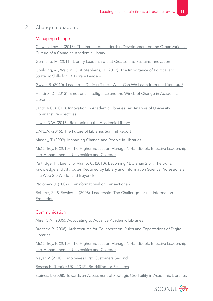### 2. Change management

### Managing change

[Crawley-Low, J. \(2013\). The Impact of Leadership Development on the Organizational](#page-32-0)  [Culture of a Canadian Academic Library](#page-32-0)

[Germano, M. \(2011\). Library Leadership that Creates and Sustains Innovation](#page-35-0)

[Goulding, A., Walton, G. & Stephens, D. \(2012\). The Importance of Political and](#page-36-0)  [Strategic Skills for UK Library Leaders](#page-36-0)

[Gwyer, R. \(2010\). Leading in Difficult Times: What Can We Learn from the Literature?](#page-38-0)

Hendrix, D. (2013). Emotional Intelligence and the Winds of Change in Academic [Libraries](#page-38-0)

[Jantz, R.C. \(2011\). Innovation in Academic Libraries: An Analysis of University](#page-39-0)  [Librarians' Perspectives](#page-39-0)

[Lewis, D.W. \(2016\). Reimagining the Academic Library](#page-40-0)

[LIANZA. \(2015\). The Future of Libraries Summit Report](#page-41-0)

[Massey, T. \(2009\). Managing Change and People in Libraries](#page-41-0)

[McCaffrey, P. \(2010\). The Higher Education Manager's Handbook: Effective Leadership](#page-43-0)  [and Management in Universities and Colleges](#page-43-0)

[Partridge, H., Lee, J. & Munro, C. \(2010\). Becoming "Librarian 2.0": The Skills,](#page-45-0)  [Knowledge and Attributes Required by Library and Information Science Professionals](#page-45-0)  [in a Web 2.0 World \(and Beyond\)](#page-45-0)

Ptolomey, J. (2007). [Transformational or Transactional?](#page-45-0)

[Roberts, S., & Rowley, J. \(2008\). Leadership: The Challenge for the Information](#page-46-0)  [Profession](#page-46-0)

### Communication

[Alire, C.A. \(2005\). Advocating to Advance Academic Libraries](#page-27-0)

[Brantley, P. \(2008\). Architectures for Collaboration: Rules and Expectations of Digital](#page-30-0)  [Libraries](#page-30-0)

[McCaffrey, P. \(2010\). The Higher Education Manager's Handbook: Effective Leadership](#page-43-0)  [and Management in Universities and Colleges](#page-43-0)

[Nayar, V. \(2010\). Employees First, Customers Second](#page-44-0)

[Research Libraries UK. \(2012\). Re-skilling for Research](#page-45-0)

[Staines, l. \(2008\). Towards an Assessment of Strategic Credibility in Academic Libraries](#page-48-0)

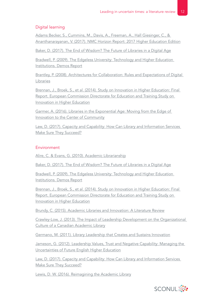### Digital learning

[Adams Becker, S., Cummins, M., Davis, A., Freeman, A., Hall Giesinger, C., &](#page-26-0)  [Ananthanarayanan, V. \(2017\). NMC Horizon Report: 2017 Higher Education Edition](#page-26-0)

[Baker, D. \(2017\). The End of Wisdom? The Future of Libraries in a Digital](#page-29-0) Age

[Bradwell, P. \(2009\). The Edgeless University: Technology and Higher Education](#page-29-0)  [Institutions. Demos Report](#page-29-0)

[Brantley, P. \(2008\). Architectures for Collaboration: Rules and Expectations of Digital](#page-30-0)  [Libraries](#page-30-0)

[Brennan, J., Broek, S., et al. \(2014\). Study on Innovation in Higher Education: Final](#page-30-0)  [Report. European Commission Directorate for Education and Training Study on](#page-30-0)  [Innovation in Higher Education](#page-30-0)

[Garmer, A. \(2016\). Libraries in the Exponential Age: Moving from the Edge of](#page-34-0)  [Innovation to the Center of Community](#page-34-0)

[Law, D. \(2017\). Capacity and Capability: How Can Library and Information Services](#page-40-0)  [Make Sure They Succeed?](#page-40-0)

### Environment

Alire, C. & Evans, G. [\(2010\). Academic Librarianship](#page-27-0)

[Baker, D. \(2017\). The End of Wisdom? The Future of Libraries in a Digital](#page-29-0) Age

[Bradwell, P. \(2009\). The Edgeless University: Technology and Higher Education](#page-29-0)  [Institutions. Demos Report](#page-29-0)

[Brennan, J., Broek, S., et al. \(2014\). Study on Innovation in Higher Education: Final](#page-30-0)  [Report. European Commission Directorate for Education and Training Study on](#page-30-0)  [Innovation in Higher Education](#page-30-0)

[Brundy, C. \(2015\). Academic Libraries and Innovation: A Literature Review](#page-31-0)

[Crawley-Low, J. \(2013\). The Impact of Leadership Development on the Organizational](#page-32-0)  [Culture of a Canadian Academic Library](#page-32-0)

[Germano, M. \(2011\). Library Leadership that Creates and Sustains Innovation](#page-35-0)

Jameson, G. (2012). Leadership Values, Trust and Negative Capability: Managing the [Uncertainties of Future English Higher Education](#page-39-0)

[Law, D. \(2017\). Capacity and Capability: How Can Library and Information Services](#page-40-0)  [Make Sure They Succeed?](#page-40-0)

[Lewis, D. W. \(2016\). Reimagining the Academic Library](#page-40-0)

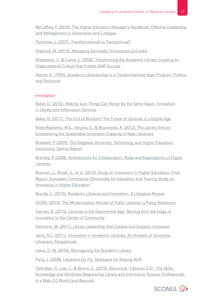[McCaffrey, P. \(2010\). The Higher Education Manager's Handbook: Effective Leadership](#page-43-0)  [and Management in Universities and Colleges](#page-43-0)

Ptolomey, J. (2007). [Transformational or Transactional?](#page-45-0)

[Shattock, M. \(2010\). Managing Successful Universities \(2nd edn\)](#page-47-0)

[Shepstone, C. & Currie, L. \(2008\). Transforming the Academic Library: Creating an](#page-47-0)  [Organizational Culture that Fosters Staff Success](#page-47-0)

[Veaner, A. \(1990\). Academic Librarianship in a Transformational Age: Program, Politics,](#page-48-0)  [and Personnel](#page-48-0)

#### Innovation

[Baker, D. \(2016\). Making Sure Things Can Never Be the Same Again: Innovation](#page-28-0)  in [Library and Information Services](#page-28-0)

[Baker, D. \(2017\). The End of Wisdom? The Future of Libraries in a Digital](#page-29-0) Age

[Bitter-Rijpkema, M.E., Verjans, S., & Bruijnzeels, R. \(2012\). The Library School:](#page-29-0)  [Empowering the Sustainable Innovation Capacity of New Librarians](#page-29-0)

[Bradwell, P. \(2009\). The Edgeless University: Technology and Higher Education](#page-29-0)  [Institutions. Demos Report](#page-29-0)

[Brantley, P. \(2008\). Architectures for Collaboration: Rules and Expectations of Digital](#page-37-0)  [Libraries](#page-37-0)

[Brennan, J., Broek, S., et al. \(2014\). Study on Innovation in Higher Education: Final](#page-30-0)  [Report. European Commission Directorate for Education and Training Study on](#page-30-0)  [Innovation in Higher Education](#page-30-0)

[Brundy, C. \(2015\). Academic Libraries and Innovation: A Literature Review](#page-31-0)

[DCMS. \(2010\). The Modernisation Review of Public Libraries: a Policy Statement](#page-33-0)

[Garmer, A. \(2016\). Libraries in the Exponential Age: Moving from the Edge of](#page-34-0)  [Innovation to the Center of Community](#page-34-0)

[Germano, M. \(2011\). Library Leadership that Creates and Sustains Innovation](#page-35-0)

[Jantz, R.C. \(2011\). Innovation in Academic Libraries: An Analysis of University](#page-39-0)  [Librarians' Perspectives](#page-39-0)

[Lewis, D. W. \(2016\). Reimagining the Academic Library](#page-40-0)

[Parry, J. \(2008\). Librarians Do Fly: Strategies for Staying Aloft](#page-44-0)

Partridge, H., Lee, J., & Munro, C. (2010). Becoming "Librarian 2.0": The Skills, [Knowledge and Attributes Required by Library and Information Science Professionals](#page-45-0)  [in a Web 2.0 World \(and Beyond\)](#page-45-0)

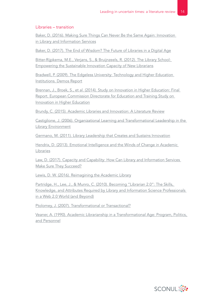### Libraries – transition

[Baker, D. \(2016\). Making Sure Things Can Never Be the Same Again: Innovation](#page-28-0)  in [Library and Information Services](#page-28-0)

[Baker, D. \(2017\). The End of Wisdom? The Future of Libraries in a Digital](#page-29-0) Age

[Bitter-Rijpkema, M.E., Verjans, S., & Bruijnzeels, R. \(2012\). The Library School:](#page-29-0)  [Empowering the Sustainable Innovation Capacity of New Librarians](#page-29-0)

[Bradwell, P. \(2009\). The Edgeless University: Technology and Higher Education](#page-29-0)  [Institutions. Demos Report](#page-29-0)

[Brennan, J., Broek, S., et al. \(2014\). Study on Innovation in Higher Education: Final](#page-30-0)  [Report. European Commission Directorate for Education and Training Study on](#page-30-0)  [Innovation in Higher Education](#page-30-0)

[Brundy, C. \(2015\). Academic Libraries and Innovation: A Literature Review](#page-31-0)

[Castiglione, J. \(2006\). Organizational Learning and Transformational Leadership in the](#page-31-0)  [Library Environment](#page-31-0)

[Germano, M. \(2011\). Library Leadership that Creates and Sustains Innovation](#page-35-0)

Hendrix, D. (2013). Emotional Intelligence and the Winds of Change in Academic [Libraries](#page-38-0)

[Law, D. \(2017\). Capacity and Capability: How Can Library and Information Services](#page-40-0)  [Make Sure They Succeed?](#page-40-0)

[Lewis, D. W. \(2016\). Reimagining the Academic Library](#page-40-0)

[Partridge, H., Lee, J., & Munro, C. \(2010\). Becoming "Librarian 2.0": The Skills,](#page-45-0)  [Knowledge, and Attributes Required by Library and Information Science Professionals](#page-45-0)  [in a Web 2.0 World \(and Beyond\)](#page-45-0)

Ptolomey, J. (2007). [Transformational or Transactional?](#page-45-0)

[Veaner, A. \(1990\). Academic Librarianship in a Transformational Age: Program, Politics,](#page-48-0)  [and Personnel](#page-48-0)

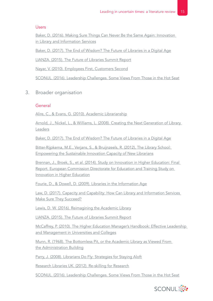### Users

[Baker, D. \(2016\). Making Sure Things Can Never Be the Same Again: Innovation](#page-28-0)  in [Library and Information Services](#page-28-0)

[Baker, D. \(2017\). The End of Wisdom? The Future of Libraries in a Digital](#page-29-0) Age

[LIANZA. \(2015\). The Future of Libraries Summit Report](#page-41-0)

[Nayar, V. \(2010\). Employees First, Customers Second](#page-44-0)

[SCONUL. \(2016\). Leadership Challenges. Some Views From Those in the Hot Seat](#page-46-0)

3. Broader organisation

### General

Alire, C., & Evans, G. [\(2010\). Academic Librarianship](#page-27-0)

[Arnold, J., Nickel, L., & Williams, L. \(2008\). Creating the Next Generation of Library](#page-27-0)  [Leaders](#page-27-0)

[Baker, D. \(2017\). The End of Wisdom? The Future of Libraries in a Digital](#page-29-0) Age

[Bitter-Rijpkema, M.E., Verjans, S., & Bruijnzeels, R. \(2012\), The Library School:](#page-29-0)  [Empowering the Sustainable Innovation Capacity of New Librarians](#page-29-0)

[Brennan, J., Broek, S., et al. \(2014\). Study on Innovation in Higher Education: Final](#page-30-0)  [Report. European Commission Directorate for Education and Training Study on](#page-30-0)  [Innovation in Higher Education](#page-30-0)

Fourie, D., & Dowell, D. (2009). [Libraries in the Information Age](#page-34-0)

[Law, D. \(2017\). Capacity and Capability: How Can Library and Information Services](#page-40-0)  [Make Sure They Succeed?](#page-40-0)

[Lewis, D. W. \(2016\). Reimagining the Academic Library](#page-40-0)

[LIANZA. \(2015\). The Future of Libraries Summit Report](#page-41-0)

[McCaffrey, P. \(2010\). The Higher Education Manager's Handbook: Effective Leadership](#page-43-0)  [and Management in Universities and Colleges](#page-43-0)

[Munn, R. \(1968\). The Bottomless Pit, or the Academic Library as Viewed From](#page-43-0) [the Administration Building](#page-43-0)

[Parry, J. \(2008\). Librarians Do Fly: Strategies for Staying Aloft](#page-44-0)

[Research Libraries UK. \(2012\). Re-skilling for Research](#page-45-0)

[SCONUL. \(2016\). Leadership Challenges. Some Views From Those in the Hot Seat](#page-46-0)

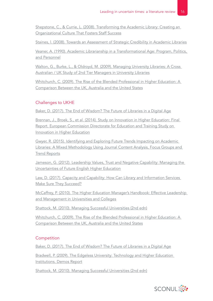Shepstone, C., & Currie, L. (2008). Transforming the Academic Library: Creating an [Organizational Culture That Fosters Staff Success](#page-47-0)

[Staines, l. \(2008\). Towards an Assessment of Strategic Credibility in Academic Libraries](#page-48-0)

[Veaner, A. \(1990\). Academic Librarianship in a Transformational Age: Program, Politics,](#page-48-0)  [and Personnel](#page-48-0)

[Walton, G., Burke, L., & Oldroyd, M. \(2009\). Managing University Libraries: A Cross](#page-48-0)  [Australian / UK Study of 2nd Tier Managers in University Libraries](#page-48-0)

[Whitchurch, C. \(2009\). The Rise of the Blended Professional in Higher](#page-49-0) Education: A [Comparison Between the UK, Australia and the United States](#page-49-0)

### Challenges to UKHE

[Baker, D. \(2017\). The End of Wisdom? The Future of Libraries in a Digital](#page-29-0) Age

[Brennan, J., Broek, S., et al. \(2014\). Study on Innovation in Higher Education: Final](#page-30-0)  [Report. European Commission Directorate for Education and Training Study on](#page-30-0)  [Innovation in Higher Education](#page-30-0)

[Gwyer, R. \(2015\). Identifying and Exploring Future Trends Impacting on Academic](#page-37-0)  [Libraries: A Mixed Methodology Using Journal Content Analysis, Focus Groups and](#page-37-0)  [Trend Reports](#page-37-0)

[Jameson, G. \(2012\). Leadership Values, Trust and Negative Capability: Managing the](#page-39-0)  [Uncertainties of Future English Higher Education](#page-39-0)

[Law, D. \(2017\). Capacity and Capability: How Can Library and Information Services](#page-40-0)  [Make Sure They Succeed?](#page-40-0)

[McCaffrey, P. \(2010\). The Higher Education Manager's Handbook: Effective Leadership](#page-43-0)  [and Management in Universities and Colleges](#page-43-0)

[Shattock, M. \(2010\). Managing Successful Universities \(2nd edn\)](#page-47-0)

[Whitchurch, C. \(2009\). The Rise of the Blended Professional in Higher](#page-49-0) Education: A [Comparison Between the UK, Australia and the United States](#page-49-0)

### **Competition**

[Baker, D. \(2017\). The End of Wisdom? The Future of Libraries in a Digital](#page-29-0) Age

[Bradwell, P. \(2009\). The Edgeless University: Technology and Higher Education](#page-29-0)  [Institutions. Demos Report](#page-29-0)

[Shattock, M. \(2010\). Managing Successful Universities \(2nd edn\)](#page-47-0)

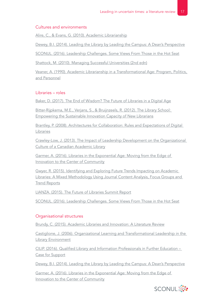### Cultures and environments

Alire, C., & Evans, G. [\(2010\). Academic Librarianship](#page-27-0)

[Dewey, B.I. \(2014\). Leading the Library by Leading the Campus: A Dean's Perspective](#page-33-0)

[SCONUL. \(2016\). Leadership Challenges. Some Views From Those in the Hot Seat](#page-46-0)

[Shattock, M. \(2010\). Managing Successful Universities \(2nd edn\)](#page-47-0)

[Veaner, A. \(1990\). Academic Librarianship in a Transformational Age: Program, Politics,](#page-48-0)  [and Personnel](#page-48-0)

### Libraries – roles

[Baker, D. \(2017\). The End of Wisdom? The Future of Libraries in a Digital](#page-29-0) Age

[Bitter-Rijpkema, M.E., Verjans, S., & Bruijnzeels, R. \(2012\). The Library School:](#page-29-0)  [Empowering the Sustainable Innovation Capacity of New Librarians](#page-29-0)

[Brantley, P. \(2008\). Architectures for Collaboration: Rules and Expectations of Digital](#page-30-0)  [Libraries](#page-30-0)

[Crawley-Low, J. \(2013\). The Impact of Leadership Development on the Organizational](#page-32-0)  [Culture of a Canadian Academic Library](#page-32-0)

[Garmer, A. \(2016\). Libraries in the Exponential Age: Moving from the Edge of](#page-34-0)  [Innovation to the Center of Community](#page-34-0)

[Gwyer, R. \(2015\). Identifying and Exploring Future Trends Impacting on Academic](#page-37-0)  [Libraries: A Mixed Methodology Using Journal Content Analysis, Focus Groups and](#page-37-0)  [Trend Reports](#page-37-0)

[LIANZA. \(2015\). The Future of Libraries Summit Report](#page-41-0)

[SCONUL. \(2016\). Leadership Challenges. Some Views From Those in the Hot Seat](#page-46-0)

### Organisational structures

[Brundy, C. \(2015\). Academic Libraries and Innovation: A Literature Review](#page-31-0)

[Castiglione, J. \(2006\). Organizational Learning and Transformational Leadership in the](#page-31-0)  [Library Environment](#page-31-0)

[CILIP. \(2016\). Qualified Library and Information Professionals in Further Education –](#page-32-0)  [Case for Support](#page-32-0)

[Dewey, B.I. \(2014\). Leading the Library by Leading the Campus: A Dean's Perspective](#page-33-0)

[Garmer, A. \(2016\). Libraries in the Exponential Age: Moving from the Edge of](#page-34-0)  [Innovation to the Center of Community](#page-34-0)

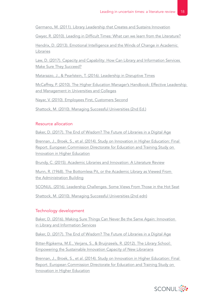[Germano, M. \(2011\). Library Leadership that Creates and Sustains Innovation](#page-35-0)

[Gwyer, R. \(2010\). Leading in Difficult Times: What can we learn from the Literature?](#page-38-0)

Hendrix, D. [\(2013\). Emotional Intelligence and the Winds of Change in Academic](#page-38-0)  [Libraries](#page-38-0)

[Law, D. \(2017\). Capacity and Capability: How Can Library and Information Services](#page-40-0)  [Make Sure They Succeed?](#page-40-0)

[Matarazzo, J., & Pearlstein, T. \(2016\). Leadership in Disruptive Times](#page-42-0)

[McCaffrey, P. \(2010\). The Higher Education Manager's Handbook: Effective Leadership](#page-43-0)  [and Management in Universities and Colleges](#page-43-0)

[Nayar, V. \(2010\). Employees First, Customers Second](#page-44-0)

[Shattock, M. \(2010\). Managing Successful Universities \(2nd Ed.\)](#page-47-0)

### Resource allocation

[Baker, D. \(2017\). The End of Wisdom? The Future of Libraries in a Digital](#page-29-0) Age

[Brennan, J., Broek, S., et al. \(2014\). Study on Innovation in Higher Education: Final](#page-30-0)  [Report. European Commission Directorate for Education and Training Study on](#page-30-0)  [Innovation in Higher Education](#page-30-0)

[Brundy, C. \(2015\). Academic Libraries and Innovation: A Literature Review](#page-31-0)

[Munn, R. \(1968\). The Bottomless Pit, or the Academic Library as Viewed From](#page-43-0) [the Administration Building](#page-43-0)

[SCONUL. \(2016\). Leadership Challenges. Some Views From Those in the Hot Seat](#page-46-0)

[Shattock, M. \(2010\). Managing Successful Universities \(2nd edn\)](#page-47-0)

### Technology development

[Baker, D. \(2016\). Making Sure Things Can Never Be the Same Again: Innovation](#page-28-0)  in [Library and Information Services](#page-28-0)

[Baker, D. \(2017\). The End of Wisdom? The Future of Libraries in a Digital](#page-29-0) Age

[Bitter-Rijpkema, M.E., Verjans, S., & Bruijnzeels, R. \(2012\). The Library School:](#page-29-0)  [Empowering the Sustainable Innovation Capacity of New Librarians](#page-29-0)

[Brennan, J., Broek, S., et al. \(2014\). Study on Innovation in Higher Education: Final](#page-30-0)  [Report. European Commission Directorate for Education and Training Study on](#page-30-0)  [Innovation in Higher Education](#page-30-0)

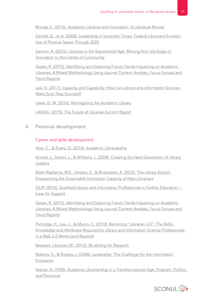[Brundy, C. \(2015\). Academic Libraries and Innovation: A Literature Review](#page-31-0)

[Darnell, B., et al. \(2008\). Leadership in Uncertain Times: Federal Librarians Envision](#page-33-0)  [Use of Physical Space Through 2020](#page-33-0)

[Garmer, A. \(2016\). Libraries in the Exponential Age: Moving from the Edge of](#page-34-0)  [Innovation to the Center of Community](#page-34-0)

[Gwyer, R. \(2015\). Identifying and Exploring Future Trends Impacting on Academic](#page-37-0)  [Libraries: A Mixed Methodology Using Journal Content Analysis, Focus Groups and](#page-37-0)  [Trend Reports](#page-37-0)

[Law, D. \(2017\). Capacity and Capability: How Can Library and Information Services](#page-40-0)  [Make Sure They Succeed?](#page-40-0)

[Lewis, D. W. \(2016\). Reimagining the Academic Library](#page-40-0)

[LIANZA. \(2015\). The Future of Libraries Summit Report](#page-41-0)

4. Personal development

### Career and skills development

Alire, C., & Evans, G. [\(2010\). Academic Librarianship](#page-27-0)

[Arnold, J., Nickel, L., & Williams, L. \(2008\). Creating the Next Generation of Library](#page-27-0)  [Leaders](#page-27-0)

[Bitter-Rijpkema, M.E., Verjans, S., & Bruijnzeels, R. \(2012\). The Library School:](#page-29-0)  [Empowering the Sustainable Innovation Capacity of New Librarians](#page-29-0)

[CILIP. \(2016\). Qualified Library and Information Professionals in Further Education –](#page-32-0)  [Case for Support](#page-32-0)

[Gwyer, R. \(2015\). Identifying and Exploring Future Trends Impacting on Academic](#page-37-0)  [Libraries: A Mixed Methodology Using Journal Content Analysis, Focus Groups and](#page-37-0)  **[Trend Reports](#page-37-0)** 

[Partridge, H., Lee, J., & Munro, C. \(2010\). Becoming "Librarian 2.0": The Skills,](#page-45-0)  [Knowledge and Attributes Required by Library and Information Science Professionals](#page-45-0)  [in a Web 2.0 World \(and Beyond\)](#page-45-0)

[Research Libraries UK. \(2012\). Re-skilling for Research](#page-45-0)

[Roberts, S., & Rowley, J. \(2008\). Leadership: The Challenge for the Information](#page-46-0)  [Profession](#page-46-0)

[Veaner, A. \(1990\). Academic Librarianship in a Transformational Age: Program, Politics,](#page-48-0)  [and Personnel](#page-48-0)

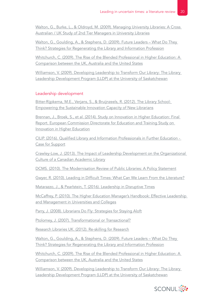Walton, G., Burke, L., & Oldroyd, M. (2009). Managing University Libraries: A Cross Australian / UK Study of 2nd Tier Managers in University Libraries

[Walton, G., Goulding, A., & Stephens, D. \(2009\). Future Leaders – What Do They](#page-49-0)  [Think? Strategies for Regenerating the Library and Information Profession](#page-49-0)

[Whitchurch, C. \(2009\). The Rise of the Blended Professional in Higher](#page-49-0) Education: A [Comparison between the UK, Australia and the United States](#page-49-0)

[Williamson, V. \(2009\). Developing Leadership to Transform Our Library: The Library](#page-49-0)  [Leadership Development Program \(LLDP\) at the University of Saskatchewan](#page-49-0)

### Leadership development

[Bitter-Rijpkema, M.E., Verjans, S., & Bruijnzeels, R. \(2012\). The Library School:](#page-29-0)  [Empowering the Sustainable Innovation Capacity of New Librarians](#page-29-0)

[Brennan, J., Broek, S., et al. \(2014\). Study on Innovation in Higher Education: Final](#page-30-0)  [Report. European Commission Directorate for Education and Training Study on](#page-30-0)  [Innovation in Higher Education](#page-30-0)

[CILIP. \(2016\). Qualified Library and Information Professionals in Further Education -](#page-32-0)  [Case for Support](#page-32-0)

[Crawley-Low, J. \(2013\). The Impact of Leadership Development on the Organizational](#page-32-0)  [Culture of a Canadian Academic Library](#page-32-0)

[DCMS. \(2010\). The Modernisation Review of Public Libraries: A Policy Statement](#page-33-0)

[Gwyer, R. \(2010\). Leading in Difficult Times: What Can We Learn From the Literature?](#page-38-0)

[Matarazzo, J., & Pearlstein, T. \(2016\). Leadership in Disruptive Times](#page-42-0)

[McCaffrey, P. \(2010\). The Higher Education Manager's Handbook: Effective Leadership](#page-43-0)  [and Management in Universities and Colleges](#page-43-0)

[Parry, J. \(2008\). Librarians Do Fly: Strategies for Staying Aloft](#page-44-0)

Ptolomey, J. (2007). [Transformational or Transactional?](#page-45-0)

[Research Libraries UK. \(2012\). Re-skilling for Research](#page-45-0)

[Walton, G., Goulding, A., & Stephens, D. \(2009\). Future Leaders – What Do They](#page-49-0)  [Think? Strategies for Regenerating the Library and Information Profession](#page-49-0)

[Whitchurch, C. \(2009\). The Rise of the Blended Professional in Higher](#page-49-0) Education: A [Comparison between the UK, Australia and the United States](#page-49-0)

[Williamson, V. \(2009\). Developing Leadership to Transform Our Library: The Library](#page-49-0)  [Leadership Development Program \(LLDP\) at the University of Saskatchewan](#page-49-0)

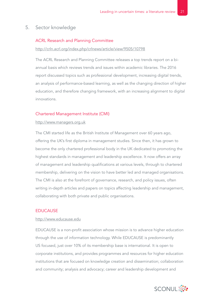### 5. Sector knowledge

#### ACRL Research and Planning Committee

#### [http://crln.acrl.org/index.php/crlnews/article/view/9505/10798](http://crln.acrl.org/index.php/crlnews/article/view/9505/10798 )

The ACRL Research and Planning Committee releases a top trends report on a biannual basis which reviews trends and issues within academic libraries. The 2016 report discussed topics such as professional development, increasing digital trends, an analysis of performance-based learning, as well as the changing direction of higher education, and therefore changing framework, with an increasing alignment to digital innovations.

#### Chartered Management Institute (CMI)

#### [http://www.managers.org.uk](http://www.managers.org.uk )

The CMI started life as the British Institute of Management over 60 years ago, offering the UK's first diploma in management studies. Since then, it has grown to become the only chartered professional body in the UK dedicated to promoting the highest standards in management and leadership excellence. It now offers an array of management and leadership qualifications at various levels, through to chartered membership, delivering on the vision to have better led and managed organisations. The CMI is also at the forefront of governance, research, and policy issues, often writing in-depth articles and papers on topics affecting leadership and management, collaborating with both private and public organisations.

### EDUCAUSE

#### [http://www.educause.edu](http://www.educause.edu )

EDUCAUSE is a non-profit association whose mission is to advance higher education through the use of information technology. While EDUCAUSE is predominantly US focused, just over 10% of its membership base is international. It is open to corporate institutions, and provides programmes and resources for higher education institutions that are focused on knowledge creation and dissemination; collaboration and community; analysis and advocacy; career and leadership development and

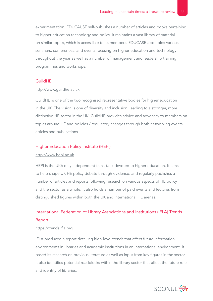experimentation. EDUCAUSE self-publishes a number of articles and books pertaining to higher education technology and policy. It maintains a vast library of material on similar topics, which is accessible to its members. EDUCASE also holds various seminars, conferences, and events focusing on higher education and technology throughout the year as well as a number of management and leadership training programmes and workshops.

#### GuildHE

#### [http://www.guildhe.ac.uk](http://www.guildhe.ac.uk )

GuildHE is one of the two recognised representative bodies for higher education in the UK. The vision is one of diversity and inclusion, leading to a stronger, more distinctive HE sector in the UK. GuildHE provides advice and advocacy to members on topics around HE and policies / regulatory changes through both networking events, articles and publications.

#### Higher Education Policy Institute (HEPI)

#### [http://www.hepi.ac.uk](http://www.hepi.ac.uk )

HEPI is the UK's only independent think-tank devoted to higher education. It aims to help shape UK HE policy debate through evidence, and regularly publishes a number of articles and reports following research on various aspects of HE policy and the sector as a whole. It also holds a number of paid events and lectures from distinguished figures within both the UK and international HE arenas.

## International Federation of Library Associations and Institutions (IFLA) Trends Report

#### [https://trends.ifla.org](https://trends.ifla.org )

IFLA produced a report detailing high-level trends that affect future information environments in libraries and academic institutions in an international environment. It based its research on previous literature as well as input from key figures in the sector. It also identifies potential roadblocks within the library sector that affect the future role and identity of libraries.

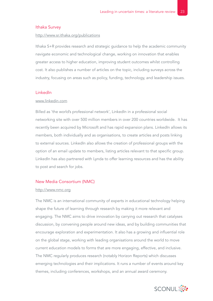#### Ithaka Survey

#### [http://www.sr.ithaka.org/publications](http://www.sr.ithaka.org/publications )

Ithaka S+R provides research and strategic guidance to help the academic community navigate economic and technological change, working on innovation that enables greater access to higher education, improving student outcomes whilst controlling cost. It also publishes a number of articles on the topic, including surveys across the industry, focusing on areas such as policy, funding, technology, and leadership issues.

#### LinkedIn

#### [www.linkedin.com](http://www.linkedin.com )

Billed as 'the world's professional network', LinkedIn in a professional social networking site with over 500 million members in over 200 countries worldwide. It has recently been acquired by Microsoft and has rapid expansion plans. LinkedIn allows its members, both individually and as organisations, to create articles and posts linking to external sources. LinkedIn also allows the creation of professional groups with the option of an email update to members, listing articles relevant to that specific group. LinkedIn has also partnered with Lynda to offer learning resources and has the ability to post and search for jobs.

#### New Media Consortium (NMC)

#### [http://www.nmc.org](http://www.nmc.org )

The NMC is an international community of experts in educational technology helping shape the future of learning through research by making it more relevant and engaging. The NMC aims to drive innovation by carrying out research that catalyses discussion, by convening people around new ideas, and by building communities that encourage exploration and experimentation. It also has a growing and influential role on the global stage, working with leading organisations around the world to move current education models to forms that are more engaging, effective, and inclusive. The NMC regularly produces research (notably Horizon Reports) which discusses emerging technologies and their implications. It runs a number of events around key themes, including conferences, workshops, and an annual award ceremony.

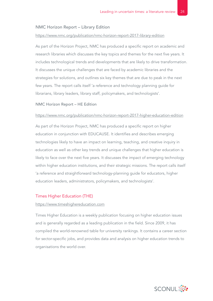#### NMC Horizon Report – Library Edition

#### [https://www.nmc.org/publication/nmc-horizon-report-2017-library-edition](https://www.nmc.org/publication/nmc-horizon-report-2017-library-edition )

As part of the Horizon Project, NMC has produced a specific report on academic and research libraries which discusses the key topics and themes for the next five years. It includes technological trends and developments that are likely to drive transformation. It discusses the unique challenges that are faced by academic libraries and the strategies for solutions, and outlines six key themes that are due to peak in the next few years. The report calls itself 'a reference and technology planning guide for librarians, library leaders, library staff, policymakers, and technologists'.

#### NMC Horizon Report – HE Edition

#### <https://www.nmc.org/publication/nmc-horizon-report-2017-higher-education-edition>

As part of the Horizon Project, NMC has produced a specific report on higher education in conjunction with EDUCAUSE. It identifies and describes emerging technologies likely to have an impact on learning, teaching, and creative inquiry in education as well as other key trends and unique challenges that higher education is likely to face over the next five years. It discusses the impact of emerging technology within higher education institutions, and their strategic missions. The report calls itself 'a reference and straightforward technology-planning guide for educators, higher education leaders, administrators, policymakers, and technologists'.

#### Times Higher Education (THE)

#### [https://www.timeshighereducation.com](https://www.timeshighereducation.com )

Times Higher Education is a weekly publication focusing on higher education issues and is generally regarded as a leading publication in the field. Since 2009, it has compiled the world-renowned table for university rankings. It contains a career section for sector-specific jobs, and provides data and analysis on higher education trends to organisations the world over.

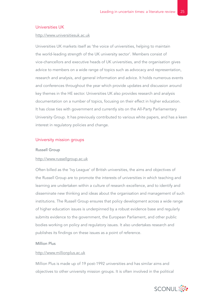#### Universities UK

#### [http://www.universitiesuk.ac.uk](http://www.universitiesuk.ac.uk )

Universities UK markets itself as 'the voice of universities, helping to maintain the world-leading strength of the UK university sector'. Members consist of vice-chancellors and executive heads of UK universities, and the organisation gives advice to members on a wide range of topics such as advocacy and representation, research and analysis, and general information and advice. It holds numerous events and conferences throughout the year which provide updates and discussion around key themes in the HE sector. Universities UK also provides research and analysis documentation on a number of topics, focusing on their effect in higher education. It has close ties with government and currently sits on the All-Party Parliamentary University Group. It has previously contributed to various white papers, and has a keen interest in regulatory policies and change.

#### University mission groups

#### Russell Group

#### [http://www.russellgroup.ac.uk](http://www.russellgroup.ac.uk )

Often billed as the 'Ivy League' of British universities, the aims and objectives of the Russell Group are to promote the interests of universities in which teaching and learning are undertaken within a culture of research excellence, and to identify and disseminate new thinking and ideas about the organisation and management of such institutions. The Russell Group ensures that policy development across a wide range of higher education issues is underpinned by a robust evidence base and regularly submits evidence to the government, the European Parliament, and other public bodies working on policy and regulatory issues. It also undertakes research and publishes its findings on these issues as a point of reference.

#### Million Plus

#### [http://www.millionplus.ac.uk](http://www.millionplus.ac.uk )

Million Plus is made up of 19 post-1992 universities and has similar aims and objectives to other university mission groups. It is often involved in the political

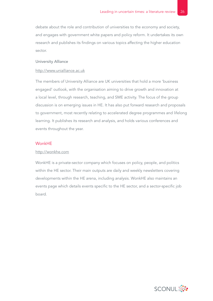debate about the role and contribution of universities to the economy and society, and engages with government white papers and policy reform. It undertakes its own research and publishes its findings on various topics affecting the higher education sector.

#### University Alliance

#### [http://www.unialliance.ac.uk](http://www.unialliance.ac.uk )

The members of University Alliance are UK universities that hold a more 'business engaged' outlook, with the organisation aiming to drive growth and innovation at a local level, through research, teaching, and SME activity. The focus of the group discussion is on emerging issues in HE. It has also put forward research and proposals to government, most recently relating to accelerated degree programmes and lifelong learning. It publishes its research and analysis, and holds various conferences and events throughout the year.

#### WonkHE

#### [http://wonkhe.com](http://wonkhe.com )

WonkHE is a private-sector company which focuses on policy, people, and politics within the HE sector. Their main outputs are daily and weekly newsletters covering developments within the HE arena, including analysis. WonkHE also maintains an events page which details events specific to the HE sector, and a sector-specific job board.

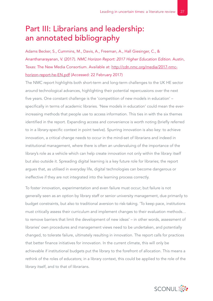# <span id="page-26-0"></span>Part III: Librarians and leadership: an annotated bibliography

Adams Becker, S., Cummins, M., Davis, A., Freeman, A., Hall Giesinger, C., & Ananthanarayanan, V. (2017). *NMC Horizon Report: 2017 Higher Education Edition*. Austin, Texas: The New Media Consortium. Available at: [http://cdn.nmc.org/media/2017-nmc](http://cdn.nmc.org/media/2017-nmc-horizon-report-he-EN.pdf)[horizon-report-he-EN.pdf](http://cdn.nmc.org/media/2017-nmc-horizon-report-he-EN.pdf) (Accessed: 22 February 2017)

The NMC report highlights both short-term and long-term challenges to the UK HE sector around technological advances, highlighting their potential repercussions over the next five years. One constant challenge is the 'competition of new models in education' – specifically in terms of academic libraries. 'New models in education' could mean the everincreasing methods that people use to access information. This ties in with the six themes identified in the report. Expanding access and convenience is worth noting (briefly referred to in a library-specific context in point twelve). Spurring innovation is also key: to achieve innovation, a critical change needs to occur in the mind-set of librarians and indeed in institutional management, where there is often an undervaluing of the importance of the library's role as a vehicle which can help create innovation not only within the library itself but also outside it. Spreading digital learning is a key future role for libraries; the report argues that, as utilised in everyday life, digital technologies can become dangerous or ineffective if they are not integrated into the learning process correctly.

To foster innovation, experimentation and even failure must occur; but failure is not generally seen as an option by library staff or senior university management, due primarily to budget constraints, but also to traditional aversion to risk-taking. 'To keep pace, institutions must critically assess their curriculum and implement changes to their evaluation methods… to remove barriers that limit the development of new ideas' – in other words, assessment of libraries' own procedures and management views need to be undertaken, and potentially changed, to tolerate failure, ultimately resulting in innovation. The report calls for practices that better finance initiatives for innovation. In the current climate, this will only be achievable if institutional budgets put the library to the forefront of allocation. This means a rethink of the roles of educators; in a library context, this could be applied to the role of the library itself, and to that of librarians.

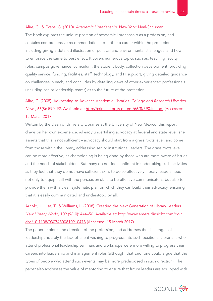#### <span id="page-27-0"></span>Alire, C., & Evans, G. (2010). *Academic Librarianship*. New York: Neal-Schuman

The book explores the unique position of academic librarianship as a profession, and contains comprehensive recommendations to further a career within the profession, including giving a detailed illustration of political and environmental challenges, and how to embrace the same to best effect. It covers numerous topics such as: teaching faculty roles, campus governance, curriculum, the student body, collection development, providing quality service, funding, facilities, staff, technology, and IT support, giving detailed guidance on challenges in each, and concludes by detailing views of other experienced professionals (including senior leadership teams) as to the future of the profession.

# Alire, C. (2005). Advocating to Advance Academic Libraries. *College and Research Libraries News*, 66(8): 590–92. Available at:<http://crln.acrl.org/content/66/8/590.full.pdf> (Accessed: 15 March 2017)

Written by the Dean of University Libraries at the University of New Mexico, this report draws on her own experience. Already undertaking advocacy at federal and state level, she asserts that this is not sufficient – advocacy should start from a grass roots level, and come from those within the library, addressing senior institutional leaders. The grass roots level can be more effective, as championing is being done by those who are more aware of issues and the needs of stakeholders. But many do not feel confident in undertaking such activities as they feel that they do not have sufficient skills to do so effectively; library leaders need not only to equip staff with the persuasion skills to be effective communicators, but also to provide them with a clear, systematic plan on which they can build their advocacy, ensuring that it is easily communicated and understood by all.

# Arnold, J., Lisa, T., & Williams, L. (2008). Creating the Next Generation of Library Leaders. *New Library World*, 109 (9/10): 444–56. Available at: [http://www.emeraldinsight.com/doi/](http://www.emeraldinsight.com/doi/abs/10.1108/03074800810910478) [abs/10.1108/03074800810910478](http://www.emeraldinsight.com/doi/abs/10.1108/03074800810910478) (Accessed: 15 March 2017)

The paper explores the direction of the profession, and addresses the challenges of leadership, notably the lack of talent wishing to progress into such positions. Librarians who attend professional leadership seminars and workshops were more willing to progress their careers into leadership and management roles (although, that said, one could argue that the types of people who attend such events may be more predisposed in such direction). The paper also addresses the value of mentoring to ensure that future leaders are equipped with

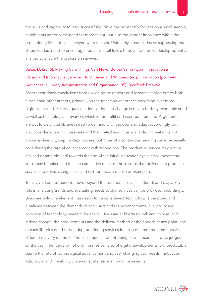<span id="page-28-0"></span>the skills and capability to lead successfully. While the paper only focuses on a small sample, it highlights not only the need for more talent, but also the gender imbalance within the profession (75% of those surveyed were female). Ultimately, it concludes by suggesting that library leaders need to encourage librarians at all levels to develop their leadership potential in a bid to ensure the profession survives.

# Baker, D. (2016). Making Sure Things Can Never Be the Same Again: Innovation in Library and Information Services. In D. Baker and W. Evans (eds), *Innovation* (pp. 1–44). (Advances in Library Administration and Organisation, 35). Bradford: Emerald

Baker's text draws conclusions from a wide range of texts and research carried out by both himself and other authors, primarily on the transition of libraries becoming ever more digitally focused. Baker argues that innovation and change is driven both by economic need as well as technological advances which in turn fulfil end-user requirements. Arguments are put forward that libraries need to be mindful of the user and adapt accordingly, but also consider economic pressures and the limited resources available. Innovation is not always a clear cut, step by step process, but more of a continuous learning curve, especially considering the rate of advancement with technology. The product or service may not be realised or tangible until towards the end of the initial innovation cycle; small incremental steps may be taken and it is the cumulative effect of those steps that delivers the product / service and drives change. Jisc and eLib projects are used as exemplars.

To survive, libraries need to move beyond the traditional services offered, and play a key role in analysing trends and evaluating needs so that services can be provided accordingly. Users are only one element that needs to be considered; technology is the other, and a balance between the demands of end users and the advancements, availability and provision of technology needs to be struck. Users are at liberty to pick and choose (and indeed change) their requirements and the delivery method of their needs at any point, and as such libraries need to be adept at offering services fulfilling different requirements via different delivery methods. The consequence of not doing so will mean failure, as judged by the user. The future of not only libraries but also of digital developments is unpredictable due to the rate of technological advancement and ever changing user needs. Innovation, adaptation and the ability to demonstrate leadership will be essential.

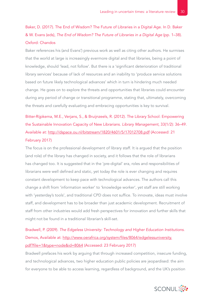# <span id="page-29-0"></span>Baker, D. (2017). The End of Wisdom? The Future of Libraries in a Digital Age. In D. Baker & W. Evans (eds), *The End of Wisdom? The Future of Libraries in a Digital Age* (pp. 1–38). Oxford: Chandos

Baker references his (and Evans') previous work as well as citing other authors. He surmises that the world at large is increasingly evermore digital and that libraries, being a point of knowledge, should 'lead, not follow'. But there is a 'significant deterioration of traditional library services' because of lack of resources and an inability to 'produce service solutions based on future likely technological advances' which in turn is hindering much needed change. He goes on to explore the threats and opportunities that libraries could encounter during any period of change or transitional programme, stating that, ultimately, overcoming the threats and carefully evaluating and embracing opportunities is key to survival.

Bitter-Rijpkema, M.E., Verjans, S., & Bruijnzeels, R. (2012). The Library School: Empowering the Sustainable Innovation Capacity of New Librarians. *Library Management*, 33(1/2): 36–49. Available at:<http://dspace.ou.nl/bitstream/1820/4601/5/17012708.pdf> (Accessed: 21 February 2017)

The focus is on the professional development of library staff. It is argued that the position (and role) of the library has changed in society, and it follows that the role of librarians has changed too. It is suggested that in the 'pre-digital' era, roles and responsibilities of librarians were well defined and static, yet today the role is ever changing and requires constant development to keep pace with technological advances. The authors call this change a shift from 'information worker' to 'knowledge worker', yet staff are still working with 'yesterday's tools', and traditional CPD does not suffice. To innovate, ideas must involve staff, and development has to be broader than just academic development. Recruitment of staff from other industries would add fresh perspectives for innovation and further skills that might not be found in a traditional librarian's skill-set.

# Bradwell, P. (2009). *The Edgeless University: Technology and Higher Education Institutions*. Demos, Available at: [http://www.oerafrica.org/system/files/8064/edgelessuniversity.](http://www.oerafrica.org/system/files/8064/edgelessuniversity.pdf?file=1&type=node&id=8064) [pdf?file=1&type=node&id=8064](http://www.oerafrica.org/system/files/8064/edgelessuniversity.pdf?file=1&type=node&id=8064) (Accessed: 23 February 2017)

Bradwell prefaces his work by arguing that through increased competition, insecure funding, and technological advances, two higher education public policies are jeopardised: the aim for everyone to be able to access learning, regardless of background, and the UK's position

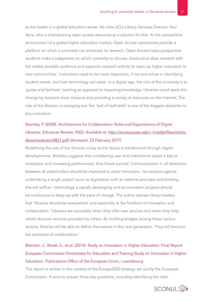<span id="page-30-0"></span>as the leader in a global education sense. He cites UCL's Library Services Director, Paul Ayris, who is championing open access resources as a solution for this: 'In the competitive environment of a global higher education market, Open Access repositories provide a platform on which a university can showcase its research. Open Access helps prospective students make a judgement on which university to choose, shares blue-skies research with the widest possible audience and supports outreach activity to open up higher education to new communities.' Institutions need to be more responsive, if not pro-active in identifying student needs, and how technology can assist. In a digital age, the role of the university is to 'guide and facilitate' learning as opposed to imparting knowledge. Libraries could assist this change by become more inclusive and providing a variety of resources on the Internet. The role of the librarian is changing too: the 'lack of staff skills' is one of the biggest obstacles to any innovation.

# Brantley, P. (2008). Architectures for Collaboration: Rules and Expectations of Digital Libraries. *Educause Review*, 43(2). Available at: [http://er.educause.edu/~/media/files/article](http://er.educause.edu/~/media/files/article-downloads/erm0821.pdf)[downloads/erm0821.pdf](http://er.educause.edu/~/media/files/article-downloads/erm0821.pdf) (Accessed: 22 February 2017)

Redefining the role of the librarian is key as the library is transformed through digital developments. Brantley suggests that considering user and institutional issues is key to innovation and increasing performance, thus future survival. Communication in all directions between all stakeholders should be improved to assist innovation. He cautions against undertaking a single project (such as digitisation with an external provider) and thinking this will suffice – technology is rapidly developing and so innovation projects should be continuous to keep up with the pace of change. The author advises library leaders that 'libraries should be everywhere' and especially at the forefront of innovation and collaboration: 'Libraries are successful when they offer new services and when they help others discover services provided by others. By building bridges among these various sectors, libraries will be able to define themselves in the next generation. They will become the architects of collaboration.'

# Brennan, J., Broek, S., et al. (2014). Study on Innovation in Higher Education: Final Report. European Commission Directorate for Education and Training Study on Innovation in Higher Education. Publications Office of the European Union, Luxembourg

This report is written in the context of the Europe2020 strategy set out by the European Commission. It aims to answer three key questions, including identifying the main

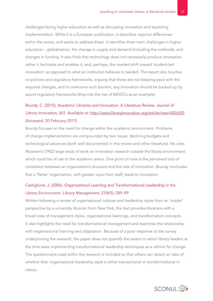<span id="page-31-0"></span>challenges facing higher education as well as discussing innovation and exploring implementation. While it is a European publication, it describes regional differences within the sector, and seeks to address these. It identifies three main challenges in higher education – globalisation, the change in supply and demand (including the methods), and changes in funding. It also finds that technology does not necessarily produce innovation, rather it facilitates and enables it, and, perhaps, the needed shift toward 'student-led innovation' as opposed to what an institution believes is needed. The report also touches on policies and regulatory frameworks, arguing that these are not keeping pace with the required changes, and to overcome such barriers, any innovation should be backed up by sound regulatory frameworks (they cite the rise of MOOCs as an example).

# Brundy, C. (2015). Academic Libraries and Innovation: A Literature Review. *Journal of Library Innovation*, (6)1. Available at:<http://www.libraryinnovation.org/article/view/420/625> (Accessed: 20 February 2017)

Brundy focuses on the need for change within the academic environment. Problems of change implementation are compounded by two issues: declining budgets and technological advances (both well documented in this review and other literature). He cites Musman's (1982) large body of work on innovation research outside the library environment which could be of use to the academic arena. One point of note is the perceived lack of correlation between an organisation's structure and the rate of innovation. Brundy concludes that a 'flatter' organisation, with greater input from staff, leads to innovation.

### Castiglione, J. (2006). Organizational Learning and Transformational Leadership in the Library Environment. *Library Management*, 27(4/5): 289–99

Written following a review of organisational cultures and leadership styles from an 'insider' perspective by a university librarian from New York, the text provides librarians with a broad view of management styles, organisational learnings, and transformation concepts. It also highlights the need for transformational management and examines the relationship with organisational learning and adaptation. Because of a poor response to the survey underpinning the research, the paper does not quantify the extent to which library leaders at the time were implementing transformational leadership techniques as a vehicle for change. The questionnaire used within the research is included so that others can obtain an idea of whether their organisational leadership style is either transactional or transformational in nature.

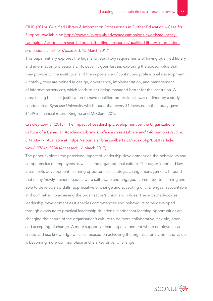<span id="page-32-0"></span>CILIP. (2016). Qualified Library & Information Professionals in Further Education – Case for Support. Available at: [https://www.cilip.org.uk/advocacy-campaigns-awards/advocacy](https://www.cilip.org.uk/advocacy-campaigns-awards/advocacy-campaigns/academic-research-libraries/briefings-resources/qualified-library-information-professionals-further)[campaigns/academic-research-libraries/briefings-resources/qualified-library-information](https://www.cilip.org.uk/advocacy-campaigns-awards/advocacy-campaigns/academic-research-libraries/briefings-resources/qualified-library-information-professionals-further)[professionals-further](https://www.cilip.org.uk/advocacy-campaigns-awards/advocacy-campaigns/academic-research-libraries/briefings-resources/qualified-library-information-professionals-further) (Accessed: 15 March 2017)

This paper initially explores the legal and regulatory requirements of having qualified library and information professionals. However, it goes further, exploring the added value that they provide to the institution and the importance of continuous professional development – notably, they are trained in design, governance, implementation, and management of information services, which leads to risk being managed better for the institution. A most telling business justification to have qualified professionals was outlined by a study conducted at Syracuse University which found that every \$1 invested in the library gave \$4.49 in financial return (Kingma and McClure, 2015).

Crawley-Low, J. (2013). The Impact of Leadership Development on the Organizational Culture of a Canadian Academic Library. *Evidence Based Library and Information Practice*, 8(4): 60-77. Available at: [https://ejournals.library.ualberta.ca/index.php/EBLIP/article/](https://ejournals.library.ualberta.ca/index.php/EBLIP/article/view/19764/15984) [view/19764/15984](https://ejournals.library.ualberta.ca/index.php/EBLIP/article/view/19764/15984) (Accessed: 16 March 2017)

The paper explores the perceived impact of leadership development on the behaviours and competencies of employees as well as the organisational culture. The paper identified key areas: skills development, learning opportunities, strategic change management. It found that many 'newly-trained' leaders were self-aware and engaged, committed to learning and able to develop new skills, appreciative of change and accepting of challenges, accountable and committed to achieving the organisation's vision and values. The author advocates leadership development as it enables competencies and behaviours to be developed through exposure to practical leadership situations. It adds that learning opportunities are changing the nature of the organisation's culture to be more collaborative, flexible, open, and accepting of change. A more supportive learning environment where employees can create and use knowledge which is focused on achieving the organisation's vision and values is becoming more commonplace and is a key driver of change.

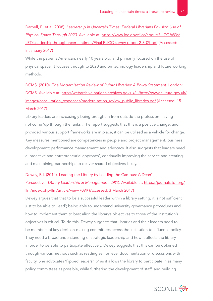<span id="page-33-0"></span>Darnell, B. et al (2008). *Leadership in Uncertain Times: Federal Librarians Envision Use of Physical Space Through 2020*. Available at: [https://www.loc.gov/flicc/about/FLICC WGs/](https://www.loc.gov/flicc/about/FLICC WGs/LET/Leadershipthroughuncertaintimes/Final FLICC survey report 2-3-09.pdf) [LET/Leadershipthroughuncertaintimes/Final FLICC survey report 2-3-09.pdf](https://www.loc.gov/flicc/about/FLICC WGs/LET/Leadershipthroughuncertaintimes/Final FLICC survey report 2-3-09.pdf) (Accessed: 8 January 2017)

While the paper is American, nearly 10 years old, and primarily focused on the use of physical space, it focuses through to 2020 and on technology leadership and future working methods.

DCMS. (2010). *The Modernisation Review of Public Libraries: A Policy Statement*. London: DCMS. Available at: [http://webarchive.nationalarchives.gov.uk/+/http://www.culture.gov.uk/](http://webarchive.nationalarchives.gov.uk/+/http://www.culture.gov.uk/images/consultation_responses/modernisation_review_public_libraries.pdf) [images/consultation\\_responses/modernisation\\_review\\_public\\_libraries.pdf](http://webarchive.nationalarchives.gov.uk/+/http://www.culture.gov.uk/images/consultation_responses/modernisation_review_public_libraries.pdf) (Accessed: 15 March 2017)

Library leaders are increasingly being brought in from outside the profession, having not come 'up through the ranks'. The report suggests that this is a positive change, and provided various support frameworks are in place, it can be utilised as a vehicle for change. Key measures mentioned are competencies in people and project management; business development; performance management; and advocacy. It also suggests that leaders need a 'proactive and entrepreneurial approach', continually improving the service and creating and maintaining partnerships to deliver shared objectives is key.

# Dewey, B.I. (2014). Leading the Library by Leading the Campus: A Dean's Perspective. *Library Leadership & Management*, 29(1). Available at: [https://journals.tdl.org/](https://journals.tdl.org/llm/index.php/llm/article/view/7099) [llm/index.php/llm/article/view/7099](https://journals.tdl.org/llm/index.php/llm/article/view/7099) (Accessed: 3 March 2017)

Dewey argues that that to be a successful leader within a library setting, it is not sufficient just to be able to 'lead'; being able to understand university governance procedures and how to implement them to best align the library's objectives to those of the institution's objectives is critical. To do this, Dewey suggests that libraries and their leaders need to be members of key decision-making committees across the institution to influence policy. They need a broad understanding of strategic leadership and how it affects the library in order to be able to participate effectively. Dewey suggests that this can be obtained through various methods such as reading senior level documentation or discussions with faculty. She advocates 'flipped leadership' as it allows the library to participate in as many policy committees as possible, while furthering the development of staff, and building

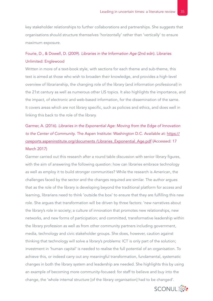<span id="page-34-0"></span>key stakeholder relationships to further collaborations and partnerships. She suggests that organisations should structure themselves 'horizontally' rather than 'vertically' to ensure maximum exposure.

### Fourie, D., & Dowell, D. (2009). *Libraries in the Information Age* (2nd edn). Libraries Unlimited: Englewood

Written in more of a text-book style, with sections for each theme and sub-theme, this text is aimed at those who wish to broaden their knowledge, and provides a high-level overview of librarianship, the changing role of the library (and information professional) in the 21st century as well as numerous other LIS topics. It also highlights the importance, and the impact, of electronic and web-based information, for the dissemination of the same. It covers areas which are not library specific, such as policies and ethics, and does well in linking this back to the role of the library.

Garmer, A. (2016). *Libraries in the Exponential Age: Moving from the Edge of Innovation to the Center of Community*. The Aspen Institute: Washington D.C. Available at: [https://](https://csreports.aspeninstitute.org/documents /Libraries_Exponential_Age.pdf) [csreports.aspeninstitute.org/documents /Libraries\\_Exponential\\_Age.pdf](https://csreports.aspeninstitute.org/documents /Libraries_Exponential_Age.pdf) (Accessed: 17 March 2017)

Garmer carried out this research after a round table discussion with senior library figures, with the aim of answering the following question: how can libraries embrace technology as well as employ it to build stronger communities? While the research is American, the challenges faced by the sector and the changes required are similar. The author argues that as the role of the library is developing beyond the traditional platform for access and learning, librarians need to think 'outside the box' to ensure that they are fulfilling this new role. She argues that transformation will be driven by three factors: 'new narratives about the library's role in society; a culture of innovation that promotes new relationships, new networks, and new forms of participation; and committed, transformative leadership within the library profession as well as from other community partners including government, media, technology and civic stakeholder groups. She does, however, caution against thinking that technology will solve a library's problems: ICT is only part of the solution; investment in 'human capital' is needed to realise the full potential of an organisation. To achieve this, or indeed carry out any meaningful transformation, fundamental, systematic changes in both the library system and leadership are needed. She highlights this by using an example of becoming more community-focused: for staff to believe and buy into the change, the 'whole internal structure [of the library organisation] had to be changed'.

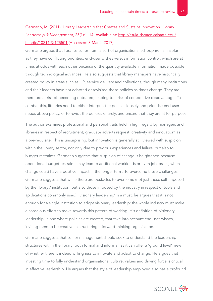# <span id="page-35-0"></span>Germano, M. (2011). Library Leadership that Creates and Sustains Innovation. *Library Leadership & Management*, 25(1):1–14. Available at: [http://csula-dspace.calstate.edu/](http://csula-dspace.calstate.edu/handle/10211.3/125501) [handle/10211.3/125501](http://csula-dspace.calstate.edu/handle/10211.3/125501) (Accessed: 3 March 2017)

Germano argues that libraries suffer from 'a sort of organisational schizophrenia' insofar as they have conflicting priorities: end-user wishes versus information control, which are at times at odds with each other because of the quantity available information made possible through technological advances. He also suggests that library managers have historically created policy in areas such as HR, service delivery and collections, though many institutions and their leaders have not adapted or revisited these policies as times change. They are therefore at risk of becoming outdated, leading to a risk of competitive disadvantage. To combat this, libraries need to either interpret the policies loosely and prioritise end-user needs above policy, or to revisit the policies entirely, and ensure that they are fit for purpose.

The author examines professional and personal traits held in high regard by managers and libraries in respect of recruitment; graduate adverts request 'creativity and innovation' as a pre-requisite. This is unsurprising, but innovation is generally still viewed with suspicion within the library sector, not only due to previous experiences and failure, but also to budget restraints. Germano suggests that suspicion of change is heightened because operational budget restraints may lead to additional workloads or even job losses, when change could have a positive impact in the longer term. To overcome these challenges, Germano suggests that while there are obstacles to overcome (not just those self-imposed by the library / institution, but also those imposed by the industry in respect of tools and applications commonly used), 'visionary leadership' is a must: he argues that it is not enough for a single institution to adopt visionary leadership: the whole industry must make a conscious effort to move towards this pattern of working. His definition of 'visionary leadership' is one where policies are created, that take into account end-user wishes, inviting them to be creative in structuring a forward-thinking organisation.

Germano suggests that senior management should seek to understand the leadership structures within the library (both formal and informal) as it can offer a 'ground level' view of whether there is indeed willingness to innovate and adapt to change. He argues that investing time to fully understand organisational culture, values and driving force is critical in effective leadership. He argues that the style of leadership employed also has a profound

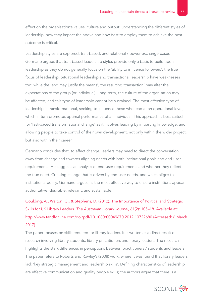<span id="page-36-0"></span>effect on the organisation's values, culture and output: understanding the different styles of leadership, how they impact the above and how best to employ them to achieve the best outcome is critical.

Leadership styles are explored: trait-based, and relational / power-exchange based. Germano argues that trait-based leadership styles provide only a basis to build upon leadership as they do not generally focus on the 'ability to influence followers', the true focus of leadership. Situational leadership and transactional leadership have weaknesses too: while the 'end may justify the means', the resulting 'transaction' may alter the expectations of the group (or individual). Long term, the culture of the organisation may be affected, and this type of leadership cannot be sustained. The most effective type of leadership is transformational, seeking to influence those who lead at an operational level, which in turn promotes optimal performance of an individual. This approach is best suited for 'fast-paced transformational change' as it involves leading by imparting knowledge, and allowing people to take control of their own development, not only within the wider project, but also within their career.

Germano concludes that, to effect change, leaders may need to direct the conversation away from change and towards aligning needs with both institutional goals and end-user requirements. He suggests an analysis of end-user requirements and whether they reflect the true need. Creating change that is driven by end-user needs, and which aligns to institutional policy, Germano argues, is the most effective way to ensure institutions appear authoritative, desirable, relevant, and sustainable.

Goulding, A., Walton, G., & Stephens, D. (2012). The Importance of Political and Strategic Skills for UK Library Leaders. *The Australian Library Journal*, 61(2): 105–18. Available at: <http://www.tandfonline.com/doi/pdf/10.1080/00049670.2012.10722680> (Accessed: 6 March 2017)

The paper focuses on skills required for library leaders. It is written as a direct result of research involving library students, library practitioners and library leaders. The research highlights the stark differences in perceptions between practitioners / students and leaders. The paper refers to Roberts and Rowley's (2008) work, where it was found that library leaders lack 'key strategic management and leadership skills'. Defining characteristics of leadership are effective communication and quality people skills; the authors argue that there is a

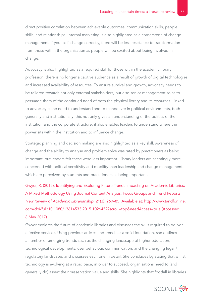<span id="page-37-0"></span>direct positive correlation between achievable outcomes, communication skills, people skills, and relationships. Internal marketing is also highlighted as a cornerstone of change management: if you 'sell' change correctly, there will be less resistance to transformation from those within the organisation as people will be excited about being involved in change.

Advocacy is also highlighted as a required skill for those within the academic library profession: there is no longer a captive audience as a result of growth of digital technologies and increased availability of resources. To ensure survival and growth, advocacy needs to be tailored towards not only external stakeholders, but also senior management so as to persuade them of the continued need of both the physical library and its resources. Linked to advocacy is the need to understand and to manoeuvre in political environments, both generally and institutionally: this not only gives an understanding of the politics of the institution and the corporate structure, it also enables leaders to understand where the power sits within the institution and to influence change.

Strategic planning and decision making are also highlighted as a key skill. Awareness of change and the ability to analyse and problem solve was rated by practitioners as being important, but leaders felt these were less important. Library leaders are seemingly more concerned with political sensitivity and mobility than leadership and change management, which are perceived by students and practitioners as being important.

Gwyer, R. (2015). Identifying and Exploring Future Trends Impacting on Academic Libraries: A Mixed Methodology Using Journal Content Analysis, Focus Groups and Trend Reports. *New Review of Academic Librarianship*, 21(3): 269–85. Available at: [http://www.tandfonline.](http://www.tandfonline.com/doi/full/10.1080/13614533.2015.1026452?scroll=top&needAccess=true) [com/doi/full/10.1080/13614533.2015.1026452?scroll=top&needAccess=true](http://www.tandfonline.com/doi/full/10.1080/13614533.2015.1026452?scroll=top&needAccess=true) (Accessed: 8 May 2017)

Gwyer explores the future of academic libraries and discusses the skills required to deliver effective services. Using previous articles and trends as a solid foundation, she outlines a number of emerging trends such as the changing landscape of higher education, technological developments, user behaviour, communication, and the changing legal / regulatory landscape, and discusses each one in detail. She concludes by stating that whilst technology is evolving at a rapid pace, in order to succeed, organisations need to (and generally do) assert their preservation value and skills. She highlights that footfall in libraries

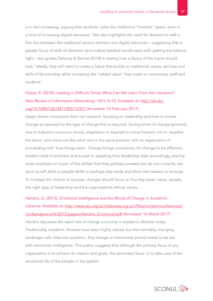<span id="page-38-0"></span>is in fact increasing, arguing that students 'value the traditional "bookish" space, even in a time of increasing digital resources'. She also highlights the need for libraries to walk a fine line between the traditional service element and digital resources – suggesting that a greater focus of skills of librarians (and indeed leaders) would assist with getting the balance right – she quotes Delaney & Barnes (2014) in stating how a library of the future should look: 'Ideally, they will need to create a future that builds on traditional values, services and skills of librarianship while increasing the "added value" they make to universities, staff and students.'

# Gwyer, R. (2010). Leading in Difficult Times: What Can We Learn From the Literature? *New Review of Information Networking*, 15(1): 4–15. Available at: [http://dx.doi.](http://dx.doi.org/10.1080/13614571003712321) [org/10.1080/13614571003712321](http://dx.doi.org/10.1080/13614571003712321) (Accessed: 10 February 2017)

Gwyer draws conclusions from her research, focusing on leadership and how to invoke change as opposed to the type of change that is required. During times of change (primarily due to turbulent economic times), adaptation is required to move forward, not to 'weather the storm' and come out the other end in the same position with an expectation of proceeding with 'how things were'. Change brings uncertainty; for change to be effective, leaders need to embrace and accept it, adapting their leadership style accordingly, placing more emphasis on a part of the skillset that they perhaps possess but do not currently use (such as soft skills or people skills) or perhaps step aside and allow new leaders to emerge. To increase the chance of success, changes should focus on four key areas: value, people, the right type of leadership and the organisation's ethical values.

Hendrix, D. (2013). *Emotional Intelligence and the Winds of Change in Academic Libraries*. Available at: [http://www.ala.org/acrl/sites/ala.org.acrl/files/content/conferences/](http://www.ala.org/acrl/sites/ala.org.acrl/files/content/conferences/confsandpreconfs/2013/papers/Hendrix_Emotional.pdf) [confsandpreconfs/2013/papers/Hendrix\\_Emotional.pdf](http://www.ala.org/acrl/sites/ala.org.acrl/files/content/conferences/confsandpreconfs/2013/papers/Hendrix_Emotional.pdf) (Accessed: 16 March 2017) Hendrix discusses the rapid rate of change occurring in academic libraries today. Traditionally, academic libraries have been highly valued, but the inevitably changing landscape calls roles into question. Any change or transitional period needs to be led with emotional intelligence. The author suggests that although the primary focus of any organisation is to achieve its mission and goals, the secondary focus 'is to take care of the emotional life of the people in the system'.

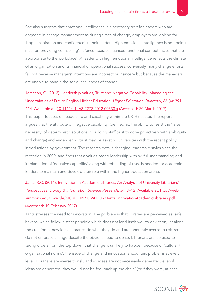<span id="page-39-0"></span>She also suggests that emotional intelligence is a necessary trait for leaders who are engaged in change management as during times of change, employers are looking for 'hope, inspiration and confidence' in their leaders. High emotional intelligence is not 'being nice' or 'providing counselling'; it 'encompasses nuanced functional competencies that are appropriate to the workplace'. A leader with high emotional intelligence reflects the climate of an organisation and its financial or operational success; conversely, many change efforts fail not because managers' intentions are incorrect or insincere but because the managers are unable to handle the social challenges of change.

# Jameson, G. (2012). Leadership Values, Trust and Negative Capability: Managing the Uncertainties of Future English Higher Education. *Higher Education Quarterly*, 66 (4): 391– 414. Available at: [10.1111/j.1468-2273.2012.00533.x](http://10.1111/j.1468-2273.2012.00533.x.) (Accessed: 20 March 2017)

This paper focuses on leadership and capability within the UK HE sector. The report argues that the attribute of 'negative capability' (defined as: the ability to resist the 'false necessity' of deterministic solutions in building staff trust to cope proactively with ambiguity and change) and engendering trust may be assisting universities with the recent policy introductions by government. The research details changing leadership styles since the recession in 2009, and finds that a values-based leadership with skilful understanding and implantation of 'negative capability' along with rebuilding of trust is needed for academic leaders to maintain and develop their role within the higher education arena.

# Jantz, R.C. (2011). Innovation in Academic Libraries: An Analysis of University Librarians' Perspectives. *Library & Information Science Research*, 34: 3–12. Available at: [http://web.](http://web.simmons.edu/~weigle/MGMT_INNOVATION/Jantz_InnovationAcademicLibraries.pdf) [simmons.edu/~weigle/MGMT\\_INNOVATION/Jantz\\_InnovationAcademicLibraries.pdf](http://web.simmons.edu/~weigle/MGMT_INNOVATION/Jantz_InnovationAcademicLibraries.pdf) (Accessed: 10 February 2017)

Jantz stresses the need for innovation. The problem is that libraries are perceived as 'safe havens' which follow a strict principle which does not lend itself well to deviation, let alone the creation of new ideas: libraries do what they do and are inherently averse to risk, so do not embrace change despite the obvious need to do so. Librarians are 'so used to taking orders from the top down' that change is unlikely to happen because of 'cultural / organisational norms'; the issue of change and innovation encounters problems at every level. Librarians are averse to risk, and so ideas are not necessarily generated; even if ideas are generated, they would not be fed 'back up the chain' (or if they were, at each

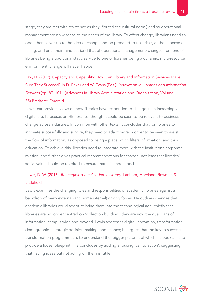<span id="page-40-0"></span>stage, they are met with resistance as they 'flouted the cultural norm') and so operational management are no wiser as to the needs of the library. To effect change, librarians need to open themselves up to the idea of change and be prepared to take risks, at the expense of failing, and until their mind-set (and that of operational management) changes from one of libraries being a traditional static service to one of libraries being a dynamic, multi-resource environment, change will never happen.

Law, D. (2017). Capacity and Capability: How Can Library and Information Services Make Sure They Succeed? In D. Baker and W. Evans (Eds.). *Innovation in Libraries and Information Services* (pp. 87–101). (Advances in Library Administration and Organization, Volume 35) Bradford: Emerald

Law's text provides views on how libraries have responded to change in an increasingly digital era. It focuses on HE libraries, though it could be seen to be relevant to business change across industries. In common with other texts, it concludes that for libraries to innovate successfully and survive, they need to adapt more in order to be seen to assist the flow of information, as opposed to being a place which filters information, and thus education. To achieve this, libraries need to integrate more with the institution's corporate mission, and further gives practical recommendations for change, not least that libraries' social value should be revisited to ensure that it is understood.

## Lewis, D. W. (2016). *Reimagining the Academic Library*. Lanham, Maryland: Rowman & Littlefield

Lewis examines the changing roles and responsibilities of academic libraries against a backdrop of many external (and some internal) driving forces. He outlines changes that academic libraries could adopt to bring them into the technological age, chiefly that libraries are no longer centred on 'collection building'; they are now the guardians of information, campus wide and beyond. Lewis addresses digital innovation, transformation, demographics, strategic decision-making, and finance; he argues that the key to successful transformation programmes is to understand the 'bigger picture', of which his book aims to provide a loose 'blueprint'. He concludes by adding a rousing 'call to action', suggesting that having ideas but not acting on them is futile.

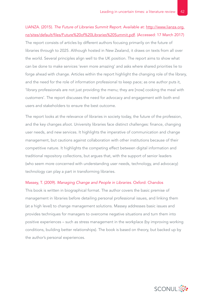<span id="page-41-0"></span>LIANZA. (2015). *The Future of Libraries Summit Report*. Available at: [http://www.lianza.org.](http://www.lianza.org.nz/sites/default/files/Future%20of%20Libraries%20Summit.pdf) [nz/sites/default/files/Future%20of%20Libraries%20Summit.pdf](http://www.lianza.org.nz/sites/default/files/Future%20of%20Libraries%20Summit.pdf). (Accessed: 17 March 2017) The report consists of articles by different authors focusing primarily on the future of libraries through to 2025. Although hosted in New Zealand, it draws on texts from all over the world. Several principles align well to the UK position. The report aims to show what can be done to make services 'even more amazing' and asks where shared priorities lie to forge ahead with change. Articles within the report highlight the changing role of the library, and the need for the role of information professional to keep pace; as one author puts it, 'library professionals are not just providing the menu; they are [now] cooking the meal with customers'. The report discusses the need for advocacy and engagement with both end users and stakeholders to ensure the best outcome.

The report looks at the relevance of libraries in society today, the future of the profession, and the key changes afoot. University libraries face distinct challenges: finance, changing user needs, and new services. It highlights the imperative of communication and change management, but cautions against collaboration with other institutions because of their competitive nature. It highlights the competing effect between digital information and traditional repository collections, but argues that, with the support of senior leaders (who seem more concerned with understanding user needs, technology, and advocacy) technology can play a part in transforming libraries.

#### Massey, T. (2009). *Managing Change and People in Libraries*. Oxford: Chandos

This book is written in biographical format. The author covers the basic premise of management in libraries before detailing personal professional issues, and linking them (at a high level) to change management solutions. Massey addresses basic issues and provides techniques for managers to overcome negative situations and turn them into positive experiences – such as stress management in the workplace (by improving working conditions, building better relationships). The book is based on theory, but backed up by the author's personal experiences.

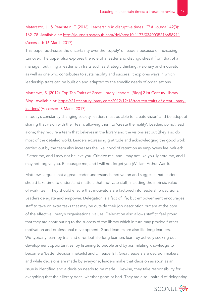# <span id="page-42-0"></span>Matarazzo, J., & Pearlstein, T. (2016). Leadership in disruptive times. *IFLA Journal*. 42(3): 162–78. Available at:<http://journals.sagepub.com/doi/abs/10.1177/0340035216658911>. (Accessed: 16 March 2017)

This paper addresses the uncertainty over the 'supply' of leaders because of increasing turnover. The paper also explores the role of a leader and distinguishes it from that of a manager, outlining a leader with traits such as strategic thinking, visionary and motivator as well as one who contributes to sustainability and success. It explores ways in which leadership traits can be built on and adapted to the specific needs of organisations.

# Matthews, S. (2012). Top Ten Traits of Great Library Leaders. [Blog] 21st Century Library Blog. Available at: [https://21stcenturylibrary.com/2012/12/18/top-ten-traits-of-great-library](https://21stcenturylibrary.com/2012/12/18/top-ten-traits-of-great-library-leaders/)[leaders/](https://21stcenturylibrary.com/2012/12/18/top-ten-traits-of-great-library-leaders/) (Accessed: 3 March 2017)

In today's constantly changing society, leaders must be able to 'create vision' and be adept at sharing that vision with their team, allowing them to 'create the reality'. Leaders do not lead alone; they require a team that believes in the library and the visions set out (they also do most of the detailed work). Leaders expressing gratitude and acknowledging the good work carried out by the team also increases the likelihood of retention as employees feel valued: 'Flatter me, and I may not believe you. Criticize me, and I may not like you. Ignore me, and I may not forgive you. Encourage me, and I will not forget you *(*William Arthur Ward).

Matthews argues that a great leader understands motivation and suggests that leaders should take time to understand matters that motivate staff, including the intrinsic value of work itself. They should ensure that motivators are factored into leadership decisions. Leaders delegate and empower. Delegation is a fact of life; but empowerment encourages staff to take on extra tasks that may be outside their job description but are at the core of the effective library's organisational values. Delegation also allows staff to feel proud that they are contributing to the success of the library which in turn may provide further motivation and professional development. Good leaders are also life-long learners. We typically learn by trial and error, but life-long learners learn by actively seeking out development opportunities, by listening to people and by assimilating knowledge to become a 'better decision maker[s] and … leader[s]'. Great leaders are decision makers, and while decisions are made by everyone, leaders make that decision as soon as an issue is identified and a decision needs to be made. Likewise, they take responsibility for everything that their library does, whether good or bad. They are also unafraid of delegating

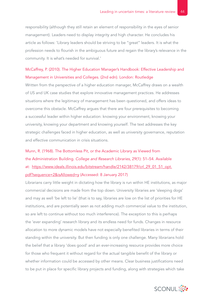<span id="page-43-0"></span>responsibility (although they still retain an element of responsibility in the eyes of senior management). Leaders need to display integrity and high character. He concludes his article as follows: 'Library leaders should be striving to be "great" leaders. It is what the profession needs to flourish in the ambiguous future and regain the library's relevance in the community. It is what's needed for survival.'

### McCaffrey, P. (2010). The Higher Education Manager's Handbook: Effective Leadership and Management in Universities and Colleges. (2nd edn). London: Routledge

Written from the perspective of a higher education manager, McCaffrey draws on a wealth of US and UK case studies that explore innovative management practices. He addresses situations where the legitimacy of management has been questioned, and offers ideas to overcome this obstacle. McCaffrey argues that there are four prerequisites to becoming a successful leader within higher education: knowing your environment, knowing your university, knowing your department and knowing yourself. The text addresses the key strategic challenges faced in higher education, as well as university governance, reputation and effective communication in crisis situations.

# Munn, R. (1968). The Bottomless Pit, or the Academic Library as Viewed from the Administration Building. *College and Research Libraries*, 29(1): 51–54. Available at: [https://www.ideals.illinois.edu/bitstream/handle/2142/38179/crl\\_29\\_01\\_51\\_opt.](https://www.ideals.illinois.edu/bitstream/handle/2142/38179/crl_29_01_51_opt.pdf?sequence=2&isAllowed=y) [pdf?sequence=2&isAllowed=y](https://www.ideals.illinois.edu/bitstream/handle/2142/38179/crl_29_01_51_opt.pdf?sequence=2&isAllowed=y) (Accessed: 8 January 2017)

Librarians carry little weight in dictating how the library is run within HE institutions, as major commercial decisions are made from the top down. University libraries are 'sleeping dogs' and may as well 'be left to lie' (that is to say, libraries are low on the list of priorities for HE institutions, and are potentially seen as not adding much commercial value to the institution, so are left to continue without too much interference). The exception to this is perhaps the 'ever expanding' research library and its endless need for funds. Changes in resource allocation to more dynamic models have not especially benefited libraries in terms of their standing within the university. But then funding is only one challenge. Many librarians hold the belief that a library 'does good' and an ever-increasing resource provides more choice for those who frequent it without regard for the actual tangible benefit of the library or whether information could be accessed by other means. Clear business justifications need to be put in place for specific library projects and funding, along with strategies which take

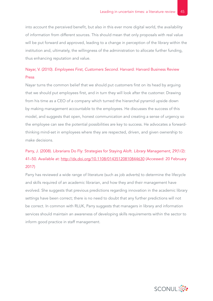<span id="page-44-0"></span>into account the perceived benefit, but also in this ever more digital world, the availability of information from different sources. This should mean that only proposals with real value will be put forward and approved, leading to a change in perception of the library within the institution and, ultimately, the willingness of the administration to allocate further funding, thus enhancing reputation and value.

## Nayar, V. (2010). *Employees First, Customers Second*. Harvard: Harvard Business Review Press

Nayar turns the common belief that we should put customers first on its head by arguing that we should put employees first, and in turn they will look after the customer. Drawing from his time as a CEO of a company which turned the hierarchal pyramid upside down by making management accountable to the employees. He discusses the success of this model, and suggests that open, honest communication and creating a sense of urgency so the employee can see the potential possibilities are key to success. He advocates a forwardthinking mind-set in employees where they are respected, driven, and given ownership to make decisions.

# Parry, J. (2008). Librarians Do Fly: Strategies for Staying Aloft. *Library Management*, 29(1/2): 41–50. Available at:<http://dx.doi.org/10.1108/01435120810844630> (Accessed: 20 February 2017)

Parry has reviewed a wide range of literature (such as job adverts) to determine the lifecycle and skills required of an academic librarian, and how they and their management have evolved. She suggests that previous predictions regarding innovation in the academic library settings have been correct; there is no need to doubt that any further predictions will not be correct. In common with RLUK, Parry suggests that managers in library and information services should maintain an awareness of developing skills requirements within the sector to inform good practice in staff management.

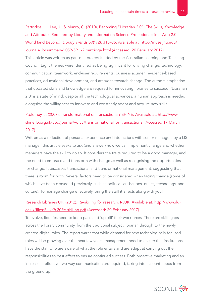<span id="page-45-0"></span>Partridge, H., Lee, J., & Munro, C. (2010), Becoming "Librarian 2.0": The Skills, Knowledge and Attributes Required by Library and Information Science Professionals in a Web 2.0 World (and Beyond). *Library Trends* 59(1/2): 315–35. Available at: [http://muse.jhu.edu/](http://muse.jhu.edu/journals/lib/summary/v059/59.1-2.partridge.html) [journals/lib/summary/v059/59.1-2.partridge.html](http://muse.jhu.edu/journals/lib/summary/v059/59.1-2.partridge.html) (Accessed: 20 February 2017)

This article was written as part of a project funded by the Australian Learning and Teaching Council. Eight themes were identified as being significant for driving change: technology, communication, teamwork, end-user requirements, business acumen, evidence-based practices, educational development, and attitudes towards change. The authors emphasise that updated skills and knowledge are required for innovating libraries to succeed. 'Librarian 2.0' is a state of mind: despite all the technological advances, a human approach is needed, alongside the willingness to innovate and constantly adapt and acquire new skills.

## Ptolomey, J. (2007). Transformational or Transactional? SHINE. Available at: [http://www.](http://www.shinelib.org.uk/cpd/journal/vol53/transformational_or_transactional) [shinelib.org.uk/cpd/journal/vol53/transformational\\_or\\_transactional](http://www.shinelib.org.uk/cpd/journal/vol53/transformational_or_transactional) (Accessed 17 March 2017)

Written as a reflection of personal experience and interactions with senior managers by a LIS manager, this article seeks to ask (and answer) how we can implement change and whether managers have the skill to do so. It considers the traits required to be a good manager, and the need to embrace and transform with change as well as recognising the opportunities for change. It discusses transactional and transformational management, suggesting that there is room for both. Several factors need to be considered when facing change (some of which have been discussed previously, such as political landscapes, ethics, technology, and culture). To manage change effectively, bring the staff it affects along with you!

## Research Libraries UK. (2012). Re-skilling for research. RLUK. Available at: [http://www.rluk.](http://www.rluk.ac.uk/files/RLUK%20Re-skilling.pdf) [ac.uk/files/RLUK%20Re-skilling.pdf](http://www.rluk.ac.uk/files/RLUK%20Re-skilling.pdf) (Accessed: 20 February 2017)

To evolve, libraries need to keep pace and 'upskill' their workforces. There are skills gaps across the library community, from the traditional subject librarian through to the newly created digital roles. The report warns that while demand for new technologically focused roles will be growing over the next few years, management need to ensure that institutions have the staff who are aware of what the role entails and are adept at carrying out their responsibilities to best effect to ensure continued success. Both proactive marketing and an increase in effective two-way communication are required, taking into account needs from the ground up.

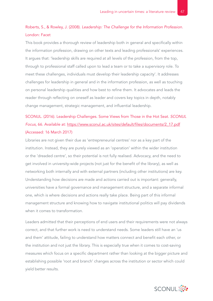## <span id="page-46-0"></span>Roberts, S., & Rowley, J. (2008). *Leadership: The Challenge for the Information Profession*. London: Facet

This book provides a thorough review of leadership both in general and specifically within the information profession, drawing on other texts and leading professionals' experiences. It argues that: 'leadership skills are required at all levels of the profession, from the top, through to professional staff called upon to lead a team or to take a supervisory role. To meet these challenges, individuals must develop their leadership capacity'. It addresses challenges for leadership in general and in the information profession, as well as touching on personal leadership qualities and how best to refine them. It advocates and leads the reader through reflecting on oneself as leader and covers key topics in depth, notably change management, strategic management, and influential leadership.

# SCONUL. (2016). Leadership Challenges. Some Views from Those in the Hot Seat. *SCONUL Focus*, 66. Available at: [https://www.sconul.ac.uk/sites/default/files/documents/2\\_17.pdf](https://www.sconul.ac.uk/sites/default/files/documents/2_17.pdf) (Accessed: 16 March 2017)

Libraries are not given their due as 'entrepreneurial centres' nor as a key part of the institution. Instead, they are purely viewed as an 'operation' within the wider institution or the 'dreaded centre', so their potential is not fully realised. Advocacy, and the need to get involved in university-wide projects (not just for the benefit of the library), as well as networking both internally and with external partners (including other institutions) are key. Understanding how decisions are made and actions carried out is important: generally, universities have a formal governance and management structure, and a separate informal one, which is where decisions and actions really take place. Being part of this informal management structure and knowing how to navigate institutional politics will pay dividends when it comes to transformation.

Leaders admitted that their perceptions of end users and their requirements were not always correct, and that further work is need to understand needs. Some leaders still have an 'us and them' attitude, failing to understand how matters connect and benefit each other, or the institution and not just the library. This is especially true when it comes to cost-saving measures which focus on a specific department rather than looking at the bigger picture and establishing possible 'root and branch' changes across the institution or sector which could yield better results.

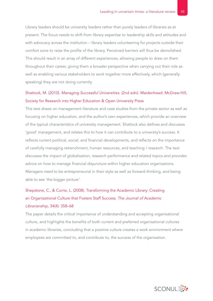<span id="page-47-0"></span>Library leaders should be university leaders rather than purely leaders of libraries as at present. The focus needs to shift from library expertise to leadership skills and attitudes and with advocacy across the institution – library leaders volunteering for projects outside their comfort zone to raise the profile of the library. Perceived barriers will thus be demolished. This should result in an array of different experiences, allowing people to draw on them throughout their career, giving them a broader perspective when carrying out their role as well as enabling various stakeholders to work together more effectively, which (generally speaking) they are not doing currently.

### Shattock, M. (2010). *Managing Successful Universities*. (2nd edn). Maidenhead: McGraw-Hill, Society for Research into Higher Education & Open University Press

This text draws on management literature and case studies from the private sector as well as focusing on higher education, and the author's own experiences, which provide an overview of the typical characteristics of university management. Shattock also defines and discusses 'good' management, and relates this to how it can contribute to a university's success. It reflects current political, social, and financial developments, and reflects on the importance of carefully managing retrenchment, human resources, and teaching / research. The text discusses the impact of globalisation, research performance and related topics and provides advice on how to manage financial disjuncture within higher education organisations. Managers need to be entrepreneurial in their style as well as forward thinking, and being able to see 'the bigger picture'.

# Shepstone, C., & Currie, L. (2008). Transforming the Academic Library: Creating an Organizational Culture that Fosters Staff Success. *The Journal of Academic Librarianship*, 34(4): 358–68

The paper details the critical importance of understanding and accepting organisational culture, and highlights the benefits of both current and preferred organisational cultures in academic libraries, concluding that a positive culture creates a work environment where employees are committed to, and contribute to, the success of the organisation.

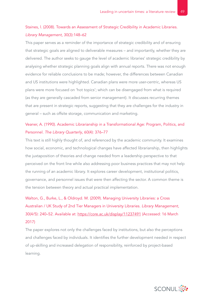## <span id="page-48-0"></span>Staines, l. (2008). Towards an Assessment of Strategic Credibility in Academic Libraries. *Library Management*, 30(3):148–62

This paper serves as a reminder of the importance of strategic credibility and of ensuring that strategic goals are aligned to deliverable measures – and importantly, whether they are delivered. The author seeks to gauge the level of academic libraries' strategic credibility by analysing whether strategic planning goals align with annual reports. There was not enough evidence for reliable conclusions to be made; however, the differences between Canadian and US institutions were highlighted. Canadian plans were more user-centric, whereas US plans were more focused on 'hot topics'; which can be disengaged from what is required (as they are generally cascaded from senior management). It discusses recurring themes that are present in strategic reports, suggesting that they are challenges for the industry in general – such as offsite storage, communication and marketing.

## Veaner, A. (1990). Academic Librarianship in a Transformational Age: Program, Politics, and Personnel. *The Library Quarterly*, 60(4): 376–77

This text is still highly thought of, and referenced by the academic community. It examines how social, economic, and technological changes have affected librarianship, then highlights the juxtaposition of theories and change needed from a leadership perspective to that perceived on the front line while also addressing poor business practices that may not help the running of an academic library. It explores career development, institutional politics, governance, and personnel issues that were then affecting the sector. A common theme is the tension between theory and actual practical implementation.

Walton, G., Burke, L., & Oldroyd. M. (2009). Managing University Libraries: a Cross Australian / UK Study of 2nd Tier Managers in University Libraries. *Library Management*, 30(4/5): 240–52. Available at: <https://core.ac.uk/display/11237491> (Accessed: 16 March 2017)

The paper explores not only the challenges faced by institutions, but also the perceptions and challenges faced by individuals. It identifies the further development needed in respect of up-skilling and increased delegation of responsibility, reinforced by project-based learning.

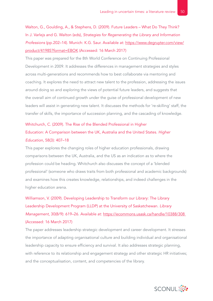<span id="page-49-0"></span>Walton, G., Goulding, A., & Stephens, D. (2009). Future Leaders – What Do They Think? In J. Varlejs and G. Walton (eds), *Strategies for Regenerating the Library and Information Professions* (pp.202–14). Munich: K.G. Saur. Available at: [https://www.degruyter.com/view/](https://www.degruyter.com/view/product/41985?format=EBOK) [product/41985?format=EBOK](https://www.degruyter.com/view/product/41985?format=EBOK) (Accessed: 16 March 2017)

This paper was prepared for the 8th World Conference on Continuing Professional Development in 2009. It addresses the differences in management strategies and styles across multi-generations and recommends how to best collaborate via mentoring and coaching. It explores the need to attract new talent to the profession, addressing the issues around doing so and exploring the views of potential future leaders, and suggests that the overall aim of continued growth under the guise of professional development of new leaders will assist in generating new talent. It discusses the methods for 're-skilling' staff, the transfer of skills, the importance of succession planning, and the cascading of knowledge.

# Whitchurch, C. (2009). The Rise of the Blended Professional in Higher Education: A Comparison between the UK, Australia and the United States. *Higher*

#### *Education*, 58(3): 407–18

This paper explores the changing roles of higher education professionals, drawing comparisons between the UK, Australia, and the US as an indication as to where the profession could be heading. Whitchurch also discusses the concept of a 'blended professional' (someone who draws traits from both professional and academic backgrounds) and examines how this creates knowledge, relationships, and indeed challenges in the higher education arena.

Williamson, V. (2009). Developing Leadership to Transform our Library: The Library Leadership Development Program (LLDP) at the University of Saskatchewan. *Library Management*, 30(8/9): 619–26. Available at:<https://ecommons.usask.ca/handle/10388/308> (Accessed: 16 March 2017)

The paper addresses leadership strategic development and career development. It stresses the importance of adapting organisational culture and building individual and organisational leadership capacity to ensure efficiency and survival. It also addresses strategic planning, with reference to its relationship and engagement strategy and other strategic HR initiatives; and the conceptualisation, content, and competencies of the library.